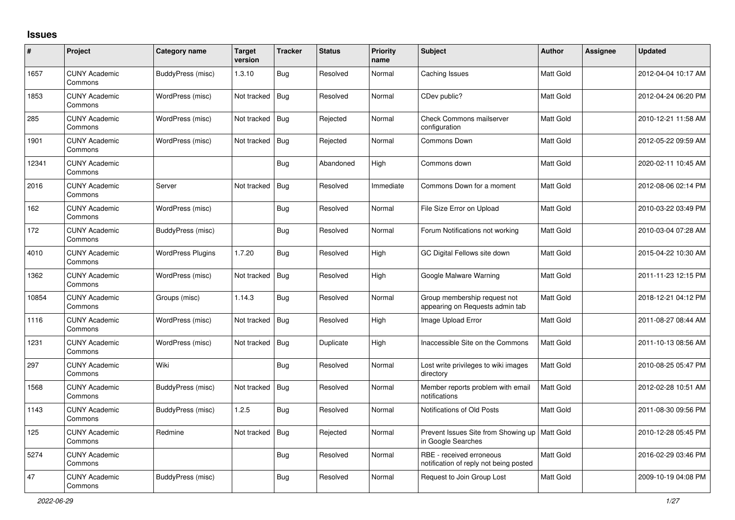## **Issues**

| $\#$  | Project                         | Category name            | Target<br>version | <b>Tracker</b> | <b>Status</b> | <b>Priority</b><br>name | <b>Subject</b>                                                        | <b>Author</b> | <b>Assignee</b> | <b>Updated</b>      |
|-------|---------------------------------|--------------------------|-------------------|----------------|---------------|-------------------------|-----------------------------------------------------------------------|---------------|-----------------|---------------------|
| 1657  | <b>CUNY Academic</b><br>Commons | <b>BuddyPress (misc)</b> | 1.3.10            | <b>Bug</b>     | Resolved      | Normal                  | Caching Issues                                                        | Matt Gold     |                 | 2012-04-04 10:17 AM |
| 1853  | <b>CUNY Academic</b><br>Commons | WordPress (misc)         | Not tracked       | <b>Bug</b>     | Resolved      | Normal                  | CDev public?                                                          | Matt Gold     |                 | 2012-04-24 06:20 PM |
| 285   | <b>CUNY Academic</b><br>Commons | WordPress (misc)         | Not tracked       | <b>Bug</b>     | Rejected      | Normal                  | Check Commons mailserver<br>configuration                             | Matt Gold     |                 | 2010-12-21 11:58 AM |
| 1901  | <b>CUNY Academic</b><br>Commons | WordPress (misc)         | Not tracked       | <b>Bug</b>     | Rejected      | Normal                  | <b>Commons Down</b>                                                   | Matt Gold     |                 | 2012-05-22 09:59 AM |
| 12341 | <b>CUNY Academic</b><br>Commons |                          |                   | Bug            | Abandoned     | High                    | Commons down                                                          | Matt Gold     |                 | 2020-02-11 10:45 AM |
| 2016  | <b>CUNY Academic</b><br>Commons | Server                   | Not tracked       | Bug            | Resolved      | Immediate               | Commons Down for a moment                                             | Matt Gold     |                 | 2012-08-06 02:14 PM |
| 162   | <b>CUNY Academic</b><br>Commons | WordPress (misc)         |                   | Bug            | Resolved      | Normal                  | File Size Error on Upload                                             | Matt Gold     |                 | 2010-03-22 03:49 PM |
| 172   | <b>CUNY Academic</b><br>Commons | BuddyPress (misc)        |                   | <b>Bug</b>     | Resolved      | Normal                  | Forum Notifications not working                                       | Matt Gold     |                 | 2010-03-04 07:28 AM |
| 4010  | <b>CUNY Academic</b><br>Commons | <b>WordPress Plugins</b> | 1.7.20            | Bug            | Resolved      | High                    | GC Digital Fellows site down                                          | Matt Gold     |                 | 2015-04-22 10:30 AM |
| 1362  | <b>CUNY Academic</b><br>Commons | WordPress (misc)         | Not tracked       | <b>Bug</b>     | Resolved      | High                    | Google Malware Warning                                                | Matt Gold     |                 | 2011-11-23 12:15 PM |
| 10854 | <b>CUNY Academic</b><br>Commons | Groups (misc)            | 1.14.3            | Bug            | Resolved      | Normal                  | Group membership request not<br>appearing on Requests admin tab       | Matt Gold     |                 | 2018-12-21 04:12 PM |
| 1116  | <b>CUNY Academic</b><br>Commons | WordPress (misc)         | Not tracked       | <b>Bug</b>     | Resolved      | High                    | Image Upload Error                                                    | Matt Gold     |                 | 2011-08-27 08:44 AM |
| 1231  | <b>CUNY Academic</b><br>Commons | WordPress (misc)         | Not tracked       | <b>Bug</b>     | Duplicate     | High                    | Inaccessible Site on the Commons                                      | Matt Gold     |                 | 2011-10-13 08:56 AM |
| 297   | <b>CUNY Academic</b><br>Commons | Wiki                     |                   | <b>Bug</b>     | Resolved      | Normal                  | Lost write privileges to wiki images<br>directory                     | Matt Gold     |                 | 2010-08-25 05:47 PM |
| 1568  | <b>CUNY Academic</b><br>Commons | <b>BuddyPress (misc)</b> | Not tracked       | <b>Bug</b>     | Resolved      | Normal                  | Member reports problem with email<br>notifications                    | Matt Gold     |                 | 2012-02-28 10:51 AM |
| 1143  | <b>CUNY Academic</b><br>Commons | BuddyPress (misc)        | 1.2.5             | <b>Bug</b>     | Resolved      | Normal                  | Notifications of Old Posts                                            | Matt Gold     |                 | 2011-08-30 09:56 PM |
| 125   | <b>CUNY Academic</b><br>Commons | Redmine                  | Not tracked       | <b>Bug</b>     | Rejected      | Normal                  | Prevent Issues Site from Showing up   Matt Gold<br>in Google Searches |               |                 | 2010-12-28 05:45 PM |
| 5274  | <b>CUNY Academic</b><br>Commons |                          |                   | <b>Bug</b>     | Resolved      | Normal                  | RBE - received erroneous<br>notification of reply not being posted    | Matt Gold     |                 | 2016-02-29 03:46 PM |
| 47    | <b>CUNY Academic</b><br>Commons | BuddyPress (misc)        |                   | <b>Bug</b>     | Resolved      | Normal                  | Request to Join Group Lost                                            | Matt Gold     |                 | 2009-10-19 04:08 PM |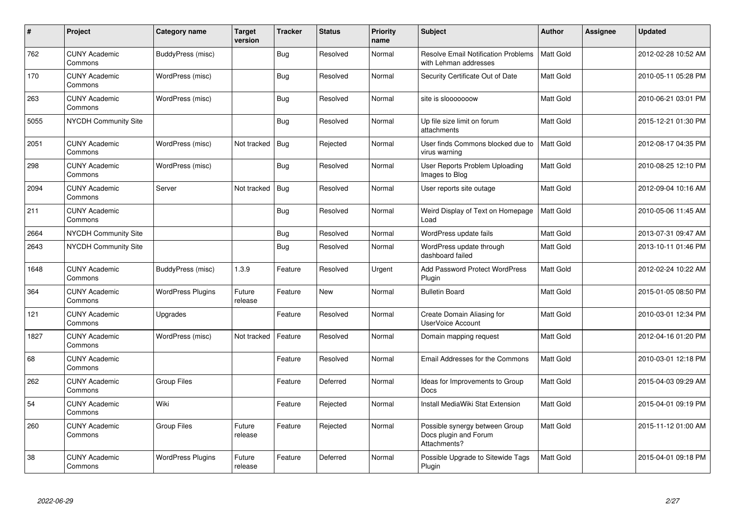| $\#$ | Project                         | <b>Category name</b>     | <b>Target</b><br>version | <b>Tracker</b> | <b>Status</b> | <b>Priority</b><br>name | <b>Subject</b>                                                          | <b>Author</b> | <b>Assignee</b> | <b>Updated</b>      |
|------|---------------------------------|--------------------------|--------------------------|----------------|---------------|-------------------------|-------------------------------------------------------------------------|---------------|-----------------|---------------------|
| 762  | <b>CUNY Academic</b><br>Commons | BuddyPress (misc)        |                          | Bug            | Resolved      | Normal                  | <b>Resolve Email Notification Problems</b><br>with Lehman addresses     | Matt Gold     |                 | 2012-02-28 10:52 AM |
| 170  | <b>CUNY Academic</b><br>Commons | WordPress (misc)         |                          | <b>Bug</b>     | Resolved      | Normal                  | Security Certificate Out of Date                                        | Matt Gold     |                 | 2010-05-11 05:28 PM |
| 263  | <b>CUNY Academic</b><br>Commons | WordPress (misc)         |                          | <b>Bug</b>     | Resolved      | Normal                  | site is slooooooow                                                      | Matt Gold     |                 | 2010-06-21 03:01 PM |
| 5055 | NYCDH Community Site            |                          |                          | <b>Bug</b>     | Resolved      | Normal                  | Up file size limit on forum<br>attachments                              | Matt Gold     |                 | 2015-12-21 01:30 PM |
| 2051 | <b>CUNY Academic</b><br>Commons | WordPress (misc)         | Not tracked              | <b>Bug</b>     | Rejected      | Normal                  | User finds Commons blocked due to<br>virus warning                      | Matt Gold     |                 | 2012-08-17 04:35 PM |
| 298  | <b>CUNY Academic</b><br>Commons | WordPress (misc)         |                          | <b>Bug</b>     | Resolved      | Normal                  | User Reports Problem Uploading<br>Images to Blog                        | Matt Gold     |                 | 2010-08-25 12:10 PM |
| 2094 | <b>CUNY Academic</b><br>Commons | Server                   | Not tracked              | Bug            | Resolved      | Normal                  | User reports site outage                                                | Matt Gold     |                 | 2012-09-04 10:16 AM |
| 211  | <b>CUNY Academic</b><br>Commons |                          |                          | Bug            | Resolved      | Normal                  | Weird Display of Text on Homepage<br>Load                               | Matt Gold     |                 | 2010-05-06 11:45 AM |
| 2664 | NYCDH Community Site            |                          |                          | <b>Bug</b>     | Resolved      | Normal                  | WordPress update fails                                                  | Matt Gold     |                 | 2013-07-31 09:47 AM |
| 2643 | <b>NYCDH Community Site</b>     |                          |                          | <b>Bug</b>     | Resolved      | Normal                  | WordPress update through<br>dashboard failed                            | Matt Gold     |                 | 2013-10-11 01:46 PM |
| 1648 | <b>CUNY Academic</b><br>Commons | <b>BuddyPress (misc)</b> | 1.3.9                    | Feature        | Resolved      | Urgent                  | Add Password Protect WordPress<br>Plugin                                | Matt Gold     |                 | 2012-02-24 10:22 AM |
| 364  | <b>CUNY Academic</b><br>Commons | <b>WordPress Plugins</b> | Future<br>release        | Feature        | <b>New</b>    | Normal                  | <b>Bulletin Board</b>                                                   | Matt Gold     |                 | 2015-01-05 08:50 PM |
| 121  | <b>CUNY Academic</b><br>Commons | Upgrades                 |                          | Feature        | Resolved      | Normal                  | Create Domain Aliasing for<br>UserVoice Account                         | Matt Gold     |                 | 2010-03-01 12:34 PM |
| 1827 | <b>CUNY Academic</b><br>Commons | WordPress (misc)         | Not tracked              | Feature        | Resolved      | Normal                  | Domain mapping request                                                  | Matt Gold     |                 | 2012-04-16 01:20 PM |
| 68   | <b>CUNY Academic</b><br>Commons |                          |                          | Feature        | Resolved      | Normal                  | Email Addresses for the Commons                                         | Matt Gold     |                 | 2010-03-01 12:18 PM |
| 262  | <b>CUNY Academic</b><br>Commons | <b>Group Files</b>       |                          | Feature        | Deferred      | Normal                  | Ideas for Improvements to Group<br>Docs                                 | Matt Gold     |                 | 2015-04-03 09:29 AM |
| 54   | <b>CUNY Academic</b><br>Commons | Wiki                     |                          | Feature        | Rejected      | Normal                  | Install MediaWiki Stat Extension                                        | Matt Gold     |                 | 2015-04-01 09:19 PM |
| 260  | <b>CUNY Academic</b><br>Commons | Group Files              | Future<br>release        | Feature        | Rejected      | Normal                  | Possible synergy between Group<br>Docs plugin and Forum<br>Attachments? | Matt Gold     |                 | 2015-11-12 01:00 AM |
| 38   | <b>CUNY Academic</b><br>Commons | <b>WordPress Plugins</b> | Future<br>release        | Feature        | Deferred      | Normal                  | Possible Upgrade to Sitewide Tags<br>Plugin                             | Matt Gold     |                 | 2015-04-01 09:18 PM |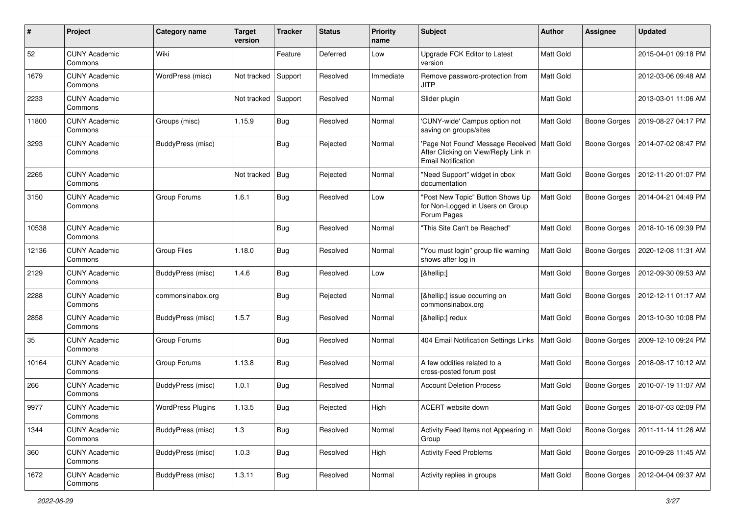| #     | Project                         | Category name            | <b>Target</b><br>version | <b>Tracker</b> | <b>Status</b> | <b>Priority</b><br>name | Subject                                                                                                            | Author           | <b>Assignee</b>     | <b>Updated</b>      |
|-------|---------------------------------|--------------------------|--------------------------|----------------|---------------|-------------------------|--------------------------------------------------------------------------------------------------------------------|------------------|---------------------|---------------------|
| 52    | <b>CUNY Academic</b><br>Commons | Wiki                     |                          | Feature        | Deferred      | Low                     | Upgrade FCK Editor to Latest<br>version                                                                            | <b>Matt Gold</b> |                     | 2015-04-01 09:18 PM |
| 1679  | <b>CUNY Academic</b><br>Commons | WordPress (misc)         | Not tracked              | Support        | Resolved      | Immediate               | Remove password-protection from<br>JITP                                                                            | <b>Matt Gold</b> |                     | 2012-03-06 09:48 AM |
| 2233  | <b>CUNY Academic</b><br>Commons |                          | Not tracked              | Support        | Resolved      | Normal                  | Slider plugin                                                                                                      | Matt Gold        |                     | 2013-03-01 11:06 AM |
| 11800 | <b>CUNY Academic</b><br>Commons | Groups (misc)            | 1.15.9                   | <b>Bug</b>     | Resolved      | Normal                  | 'CUNY-wide' Campus option not<br>saving on groups/sites                                                            | <b>Matt Gold</b> | <b>Boone Gorges</b> | 2019-08-27 04:17 PM |
| 3293  | <b>CUNY Academic</b><br>Commons | BuddyPress (misc)        |                          | Bug            | Rejected      | Normal                  | 'Page Not Found' Message Received   Matt Gold<br>After Clicking on View/Reply Link in<br><b>Email Notification</b> |                  | <b>Boone Gorges</b> | 2014-07-02 08:47 PM |
| 2265  | <b>CUNY Academic</b><br>Commons |                          | Not tracked              | <b>Bug</b>     | Rejected      | Normal                  | "Need Support" widget in cbox<br>documentation                                                                     | <b>Matt Gold</b> | <b>Boone Gorges</b> | 2012-11-20 01:07 PM |
| 3150  | <b>CUNY Academic</b><br>Commons | Group Forums             | 1.6.1                    | Bug            | Resolved      | Low                     | "Post New Topic" Button Shows Up<br>for Non-Logged in Users on Group<br>Forum Pages                                | Matt Gold        | <b>Boone Gorges</b> | 2014-04-21 04:49 PM |
| 10538 | <b>CUNY Academic</b><br>Commons |                          |                          | Bug            | Resolved      | Normal                  | "This Site Can't be Reached"                                                                                       | Matt Gold        | Boone Gorges        | 2018-10-16 09:39 PM |
| 12136 | <b>CUNY Academic</b><br>Commons | Group Files              | 1.18.0                   | <b>Bug</b>     | Resolved      | Normal                  | "You must login" group file warning<br>shows after log in                                                          | <b>Matt Gold</b> | Boone Gorges        | 2020-12-08 11:31 AM |
| 2129  | <b>CUNY Academic</b><br>Commons | BuddyPress (misc)        | 1.4.6                    | <b>Bug</b>     | Resolved      | Low                     | […]                                                                                                                | Matt Gold        | Boone Gorges        | 2012-09-30 09:53 AM |
| 2288  | <b>CUNY Academic</b><br>Commons | commonsinabox.org        |                          | Bug            | Rejected      | Normal                  | […] issue occurring on<br>commonsinabox.org                                                                        | Matt Gold        | Boone Gorges        | 2012-12-11 01:17 AM |
| 2858  | <b>CUNY Academic</b><br>Commons | BuddyPress (misc)        | 1.5.7                    | Bug            | Resolved      | Normal                  | […] redux                                                                                                          | Matt Gold        | Boone Gorges        | 2013-10-30 10:08 PM |
| 35    | <b>CUNY Academic</b><br>Commons | Group Forums             |                          | <b>Bug</b>     | Resolved      | Normal                  | 404 Email Notification Settings Links                                                                              | <b>Matt Gold</b> | <b>Boone Gorges</b> | 2009-12-10 09:24 PM |
| 10164 | <b>CUNY Academic</b><br>Commons | Group Forums             | 1.13.8                   | <b>Bug</b>     | Resolved      | Normal                  | A few oddities related to a<br>cross-posted forum post                                                             | <b>Matt Gold</b> | <b>Boone Gorges</b> | 2018-08-17 10:12 AM |
| 266   | <b>CUNY Academic</b><br>Commons | <b>BuddyPress (misc)</b> | 1.0.1                    | Bug            | Resolved      | Normal                  | <b>Account Deletion Process</b>                                                                                    | <b>Matt Gold</b> | Boone Gorges        | 2010-07-19 11:07 AM |
| 9977  | <b>CUNY Academic</b><br>Commons | <b>WordPress Plugins</b> | 1.13.5                   | Bug            | Rejected      | High                    | ACERT website down                                                                                                 | Matt Gold        | Boone Gorges        | 2018-07-03 02:09 PM |
| 1344  | <b>CUNY Academic</b><br>Commons | BuddyPress (misc)        | $1.3$                    | <b>Bug</b>     | Resolved      | Normal                  | Activity Feed Items not Appearing in<br>Group                                                                      | Matt Gold        | <b>Boone Gorges</b> | 2011-11-14 11:26 AM |
| 360   | <b>CUNY Academic</b><br>Commons | BuddyPress (misc)        | 1.0.3                    | <b>Bug</b>     | Resolved      | High                    | <b>Activity Feed Problems</b>                                                                                      | Matt Gold        | Boone Gorges        | 2010-09-28 11:45 AM |
| 1672  | <b>CUNY Academic</b><br>Commons | BuddyPress (misc)        | 1.3.11                   | <b>Bug</b>     | Resolved      | Normal                  | Activity replies in groups                                                                                         | Matt Gold        | Boone Gorges        | 2012-04-04 09:37 AM |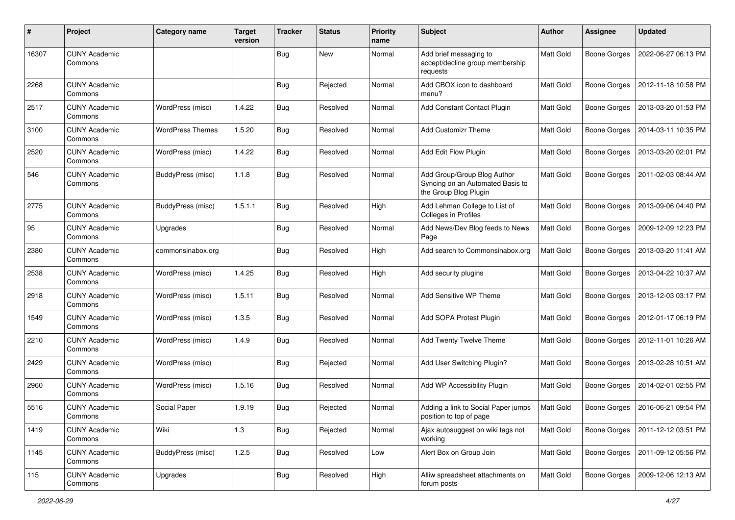| #     | Project                         | Category name            | <b>Target</b><br>version | <b>Tracker</b> | <b>Status</b> | <b>Priority</b><br>name | Subject                                                                                  | <b>Author</b> | <b>Assignee</b>     | <b>Updated</b>      |
|-------|---------------------------------|--------------------------|--------------------------|----------------|---------------|-------------------------|------------------------------------------------------------------------------------------|---------------|---------------------|---------------------|
| 16307 | <b>CUNY Academic</b><br>Commons |                          |                          | <b>Bug</b>     | <b>New</b>    | Normal                  | Add brief messaging to<br>accept/decline group membership<br>requests                    | Matt Gold     | <b>Boone Gorges</b> | 2022-06-27 06:13 PM |
| 2268  | <b>CUNY Academic</b><br>Commons |                          |                          | <b>Bug</b>     | Rejected      | Normal                  | Add CBOX icon to dashboard<br>menu?                                                      | Matt Gold     | <b>Boone Gorges</b> | 2012-11-18 10:58 PM |
| 2517  | <b>CUNY Academic</b><br>Commons | WordPress (misc)         | 1.4.22                   | <b>Bug</b>     | Resolved      | Normal                  | Add Constant Contact Plugin                                                              | Matt Gold     | <b>Boone Gorges</b> | 2013-03-20 01:53 PM |
| 3100  | <b>CUNY Academic</b><br>Commons | <b>WordPress Themes</b>  | 1.5.20                   | <b>Bug</b>     | Resolved      | Normal                  | <b>Add Customizr Theme</b>                                                               | Matt Gold     | <b>Boone Gorges</b> | 2014-03-11 10:35 PM |
| 2520  | <b>CUNY Academic</b><br>Commons | WordPress (misc)         | 1.4.22                   | <b>Bug</b>     | Resolved      | Normal                  | Add Edit Flow Plugin                                                                     | Matt Gold     | <b>Boone Gorges</b> | 2013-03-20 02:01 PM |
| 546   | <b>CUNY Academic</b><br>Commons | <b>BuddyPress (misc)</b> | 1.1.8                    | <b>Bug</b>     | Resolved      | Normal                  | Add Group/Group Blog Author<br>Syncing on an Automated Basis to<br>the Group Blog Plugin | Matt Gold     | <b>Boone Gorges</b> | 2011-02-03 08:44 AM |
| 2775  | <b>CUNY Academic</b><br>Commons | <b>BuddyPress (misc)</b> | 1.5.1.1                  | <b>Bug</b>     | Resolved      | High                    | Add Lehman College to List of<br>Colleges in Profiles                                    | Matt Gold     | <b>Boone Gorges</b> | 2013-09-06 04:40 PM |
| 95    | <b>CUNY Academic</b><br>Commons | Upgrades                 |                          | Bug            | Resolved      | Normal                  | Add News/Dev Blog feeds to News<br>Page                                                  | Matt Gold     | <b>Boone Gorges</b> | 2009-12-09 12:23 PM |
| 2380  | <b>CUNY Academic</b><br>Commons | commonsinabox.org        |                          | Bug            | Resolved      | High                    | Add search to Commonsinabox.org                                                          | Matt Gold     | <b>Boone Gorges</b> | 2013-03-20 11:41 AM |
| 2538  | <b>CUNY Academic</b><br>Commons | WordPress (misc)         | 1.4.25                   | <b>Bug</b>     | Resolved      | High                    | Add security plugins                                                                     | Matt Gold     | <b>Boone Gorges</b> | 2013-04-22 10:37 AM |
| 2918  | <b>CUNY Academic</b><br>Commons | WordPress (misc)         | 1.5.11                   | Bug            | Resolved      | Normal                  | Add Sensitive WP Theme                                                                   | Matt Gold     | <b>Boone Gorges</b> | 2013-12-03 03:17 PM |
| 1549  | <b>CUNY Academic</b><br>Commons | WordPress (misc)         | 1.3.5                    | Bug            | Resolved      | Normal                  | Add SOPA Protest Plugin                                                                  | Matt Gold     | <b>Boone Gorges</b> | 2012-01-17 06:19 PM |
| 2210  | <b>CUNY Academic</b><br>Commons | WordPress (misc)         | 1.4.9                    | Bug            | Resolved      | Normal                  | <b>Add Twenty Twelve Theme</b>                                                           | Matt Gold     | <b>Boone Gorges</b> | 2012-11-01 10:26 AM |
| 2429  | <b>CUNY Academic</b><br>Commons | WordPress (misc)         |                          | <b>Bug</b>     | Rejected      | Normal                  | Add User Switching Plugin?                                                               | Matt Gold     | <b>Boone Gorges</b> | 2013-02-28 10:51 AM |
| 2960  | <b>CUNY Academic</b><br>Commons | WordPress (misc)         | 1.5.16                   | <b>Bug</b>     | Resolved      | Normal                  | Add WP Accessibility Plugin                                                              | Matt Gold     | <b>Boone Gorges</b> | 2014-02-01 02:55 PM |
| 5516  | <b>CUNY Academic</b><br>Commons | Social Paper             | 1.9.19                   | Bug            | Rejected      | Normal                  | Adding a link to Social Paper jumps<br>position to top of page                           | Matt Gold     | <b>Boone Gorges</b> | 2016-06-21 09:54 PM |
| 1419  | <b>CUNY Academic</b><br>Commons | Wiki                     | 1.3                      | <b>Bug</b>     | Rejected      | Normal                  | Ajax autosuggest on wiki tags not<br>working                                             | Matt Gold     | Boone Gorges        | 2011-12-12 03:51 PM |
| 1145  | <b>CUNY Academic</b><br>Commons | BuddyPress (misc)        | 1.2.5                    | <b>Bug</b>     | Resolved      | Low                     | Alert Box on Group Join                                                                  | Matt Gold     | Boone Gorges        | 2011-09-12 05:56 PM |
| 115   | <b>CUNY Academic</b><br>Commons | Upgrades                 |                          | <b>Bug</b>     | Resolved      | High                    | Alliw spreadsheet attachments on<br>forum posts                                          | Matt Gold     | Boone Gorges        | 2009-12-06 12:13 AM |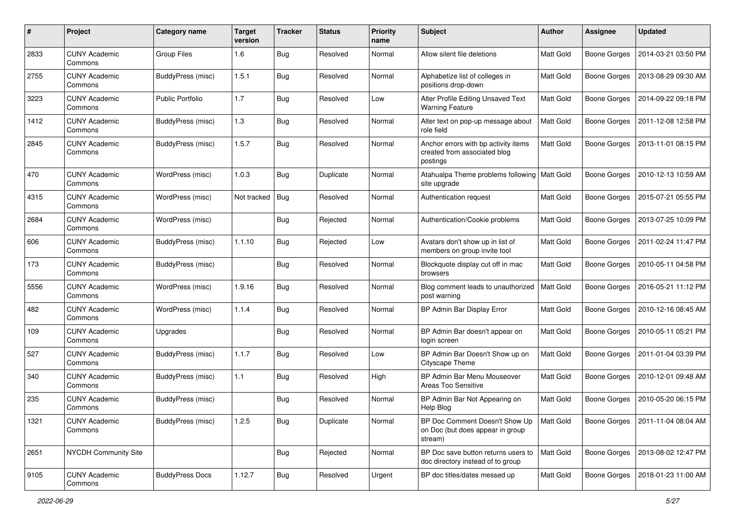| #    | Project                         | Category name            | <b>Target</b><br>version | <b>Tracker</b> | <b>Status</b> | <b>Priority</b><br>name | Subject                                                                          | Author           | <b>Assignee</b>     | <b>Updated</b>      |
|------|---------------------------------|--------------------------|--------------------------|----------------|---------------|-------------------------|----------------------------------------------------------------------------------|------------------|---------------------|---------------------|
| 2833 | <b>CUNY Academic</b><br>Commons | Group Files              | 1.6                      | <b>Bug</b>     | Resolved      | Normal                  | Allow silent file deletions                                                      | <b>Matt Gold</b> | <b>Boone Gorges</b> | 2014-03-21 03:50 PM |
| 2755 | <b>CUNY Academic</b><br>Commons | BuddyPress (misc)        | 1.5.1                    | Bug            | Resolved      | Normal                  | Alphabetize list of colleges in<br>positions drop-down                           | Matt Gold        | <b>Boone Gorges</b> | 2013-08-29 09:30 AM |
| 3223 | <b>CUNY Academic</b><br>Commons | <b>Public Portfolio</b>  | 1.7                      | Bug            | Resolved      | Low                     | Alter Profile Editing Unsaved Text<br><b>Warning Feature</b>                     | Matt Gold        | <b>Boone Gorges</b> | 2014-09-22 09:18 PM |
| 1412 | <b>CUNY Academic</b><br>Commons | BuddyPress (misc)        | 1.3                      | Bug            | Resolved      | Normal                  | Alter text on pop-up message about<br>role field                                 | Matt Gold        | <b>Boone Gorges</b> | 2011-12-08 12:58 PM |
| 2845 | <b>CUNY Academic</b><br>Commons | BuddyPress (misc)        | 1.5.7                    | Bug            | Resolved      | Normal                  | Anchor errors with bp activity items<br>created from associated blog<br>postings | <b>Matt Gold</b> | <b>Boone Gorges</b> | 2013-11-01 08:15 PM |
| 470  | <b>CUNY Academic</b><br>Commons | WordPress (misc)         | 1.0.3                    | Bug            | Duplicate     | Normal                  | Atahualpa Theme problems following<br>site upgrade                               | <b>Matt Gold</b> | <b>Boone Gorges</b> | 2010-12-13 10:59 AM |
| 4315 | <b>CUNY Academic</b><br>Commons | WordPress (misc)         | Not tracked              | <b>Bug</b>     | Resolved      | Normal                  | Authentication request                                                           | Matt Gold        | <b>Boone Gorges</b> | 2015-07-21 05:55 PM |
| 2684 | <b>CUNY Academic</b><br>Commons | WordPress (misc)         |                          | Bug            | Rejected      | Normal                  | Authentication/Cookie problems                                                   | Matt Gold        | <b>Boone Gorges</b> | 2013-07-25 10:09 PM |
| 606  | <b>CUNY Academic</b><br>Commons | BuddyPress (misc)        | 1.1.10                   | <b>Bug</b>     | Rejected      | Low                     | Avatars don't show up in list of<br>members on group invite tool                 | Matt Gold        | <b>Boone Gorges</b> | 2011-02-24 11:47 PM |
| 173  | <b>CUNY Academic</b><br>Commons | <b>BuddyPress (misc)</b> |                          | Bug            | Resolved      | Normal                  | Blockquote display cut off in mac<br>browsers                                    | Matt Gold        | <b>Boone Gorges</b> | 2010-05-11 04:58 PM |
| 5556 | <b>CUNY Academic</b><br>Commons | WordPress (misc)         | 1.9.16                   | <b>Bug</b>     | Resolved      | Normal                  | Blog comment leads to unauthorized<br>post warning                               | Matt Gold        | <b>Boone Gorges</b> | 2016-05-21 11:12 PM |
| 482  | <b>CUNY Academic</b><br>Commons | WordPress (misc)         | 1.1.4                    | <b>Bug</b>     | Resolved      | Normal                  | BP Admin Bar Display Error                                                       | <b>Matt Gold</b> | <b>Boone Gorges</b> | 2010-12-16 08:45 AM |
| 109  | <b>CUNY Academic</b><br>Commons | Upgrades                 |                          | Bug            | Resolved      | Normal                  | BP Admin Bar doesn't appear on<br>login screen                                   | <b>Matt Gold</b> | <b>Boone Gorges</b> | 2010-05-11 05:21 PM |
| 527  | <b>CUNY Academic</b><br>Commons | <b>BuddyPress (misc)</b> | 1.1.7                    | Bug            | Resolved      | Low                     | BP Admin Bar Doesn't Show up on<br>Cityscape Theme                               | Matt Gold        | Boone Gorges        | 2011-01-04 03:39 PM |
| 340  | <b>CUNY Academic</b><br>Commons | <b>BuddyPress (misc)</b> | 1.1                      | Bug            | Resolved      | High                    | BP Admin Bar Menu Mouseover<br>Areas Too Sensitive                               | Matt Gold        | <b>Boone Gorges</b> | 2010-12-01 09:48 AM |
| 235  | <b>CUNY Academic</b><br>Commons | <b>BuddyPress (misc)</b> |                          | Bug            | Resolved      | Normal                  | BP Admin Bar Not Appearing on<br>Help Blog                                       | Matt Gold        | Boone Gorges        | 2010-05-20 06:15 PM |
| 1321 | <b>CUNY Academic</b><br>Commons | <b>BuddyPress</b> (misc) | 1.2.5                    | <b>Bug</b>     | Duplicate     | Normal                  | BP Doc Comment Doesn't Show Up<br>on Doc (but does appear in group<br>stream)    | Matt Gold        | Boone Gorges        | 2011-11-04 08:04 AM |
| 2651 | <b>NYCDH Community Site</b>     |                          |                          | Bug            | Rejected      | Normal                  | BP Doc save button returns users to<br>doc directory instead of to group         | Matt Gold        | <b>Boone Gorges</b> | 2013-08-02 12:47 PM |
| 9105 | <b>CUNY Academic</b><br>Commons | <b>BuddyPress Docs</b>   | 1.12.7                   | <b>Bug</b>     | Resolved      | Urgent                  | BP doc titles/dates messed up                                                    | Matt Gold        | <b>Boone Gorges</b> | 2018-01-23 11:00 AM |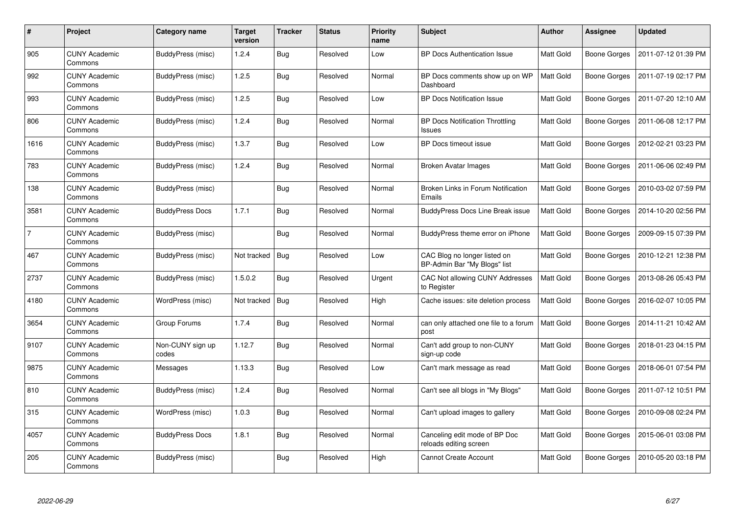| #              | Project                         | Category name             | Target<br>version | <b>Tracker</b> | <b>Status</b> | <b>Priority</b><br>name | <b>Subject</b>                                               | <b>Author</b>    | Assignee            | <b>Updated</b>      |
|----------------|---------------------------------|---------------------------|-------------------|----------------|---------------|-------------------------|--------------------------------------------------------------|------------------|---------------------|---------------------|
| 905            | <b>CUNY Academic</b><br>Commons | BuddyPress (misc)         | 1.2.4             | <b>Bug</b>     | Resolved      | Low                     | BP Docs Authentication Issue                                 | Matt Gold        | <b>Boone Gorges</b> | 2011-07-12 01:39 PM |
| 992            | <b>CUNY Academic</b><br>Commons | BuddyPress (misc)         | 1.2.5             | <b>Bug</b>     | Resolved      | Normal                  | BP Docs comments show up on WP<br>Dashboard                  | Matt Gold        | <b>Boone Gorges</b> | 2011-07-19 02:17 PM |
| 993            | <b>CUNY Academic</b><br>Commons | BuddyPress (misc)         | 1.2.5             | Bug            | Resolved      | Low                     | <b>BP Docs Notification Issue</b>                            | <b>Matt Gold</b> | <b>Boone Gorges</b> | 2011-07-20 12:10 AM |
| 806            | <b>CUNY Academic</b><br>Commons | BuddyPress (misc)         | 1.2.4             | <b>Bug</b>     | Resolved      | Normal                  | <b>BP Docs Notification Throttling</b><br><b>Issues</b>      | Matt Gold        | <b>Boone Gorges</b> | 2011-06-08 12:17 PM |
| 1616           | <b>CUNY Academic</b><br>Commons | BuddyPress (misc)         | 1.3.7             | <b>Bug</b>     | Resolved      | Low                     | <b>BP Docs timeout issue</b>                                 | Matt Gold        | <b>Boone Gorges</b> | 2012-02-21 03:23 PM |
| 783            | <b>CUNY Academic</b><br>Commons | BuddyPress (misc)         | 1.2.4             | <b>Bug</b>     | Resolved      | Normal                  | Broken Avatar Images                                         | Matt Gold        | <b>Boone Gorges</b> | 2011-06-06 02:49 PM |
| 138            | <b>CUNY Academic</b><br>Commons | BuddyPress (misc)         |                   | <b>Bug</b>     | Resolved      | Normal                  | Broken Links in Forum Notification<br>Emails                 | <b>Matt Gold</b> | <b>Boone Gorges</b> | 2010-03-02 07:59 PM |
| 3581           | <b>CUNY Academic</b><br>Commons | <b>BuddyPress Docs</b>    | 1.7.1             | <b>Bug</b>     | Resolved      | Normal                  | <b>BuddyPress Docs Line Break issue</b>                      | Matt Gold        | <b>Boone Gorges</b> | 2014-10-20 02:56 PM |
| $\overline{7}$ | <b>CUNY Academic</b><br>Commons | BuddyPress (misc)         |                   | <b>Bug</b>     | Resolved      | Normal                  | BuddyPress theme error on iPhone                             | Matt Gold        | <b>Boone Gorges</b> | 2009-09-15 07:39 PM |
| 467            | <b>CUNY Academic</b><br>Commons | BuddyPress (misc)         | Not tracked       | <b>Bug</b>     | Resolved      | Low                     | CAC Blog no longer listed on<br>BP-Admin Bar "My Blogs" list | Matt Gold        | Boone Gorges        | 2010-12-21 12:38 PM |
| 2737           | <b>CUNY Academic</b><br>Commons | BuddyPress (misc)         | 1.5.0.2           | Bug            | Resolved      | Urgent                  | CAC Not allowing CUNY Addresses<br>to Register               | Matt Gold        | <b>Boone Gorges</b> | 2013-08-26 05:43 PM |
| 4180           | <b>CUNY Academic</b><br>Commons | WordPress (misc)          | Not tracked       | <b>Bug</b>     | Resolved      | High                    | Cache issues: site deletion process                          | Matt Gold        | <b>Boone Gorges</b> | 2016-02-07 10:05 PM |
| 3654           | <b>CUNY Academic</b><br>Commons | Group Forums              | 1.7.4             | Bug            | Resolved      | Normal                  | can only attached one file to a forum<br>post                | Matt Gold        | <b>Boone Gorges</b> | 2014-11-21 10:42 AM |
| 9107           | <b>CUNY Academic</b><br>Commons | Non-CUNY sign up<br>codes | 1.12.7            | <b>Bug</b>     | Resolved      | Normal                  | Can't add group to non-CUNY<br>sign-up code                  | Matt Gold        | Boone Gorges        | 2018-01-23 04:15 PM |
| 9875           | <b>CUNY Academic</b><br>Commons | Messages                  | 1.13.3            | Bug            | Resolved      | Low                     | Can't mark message as read                                   | Matt Gold        | <b>Boone Gorges</b> | 2018-06-01 07:54 PM |
| 810            | <b>CUNY Academic</b><br>Commons | BuddyPress (misc)         | 1.2.4             | <b>Bug</b>     | Resolved      | Normal                  | Can't see all blogs in "My Blogs"                            | Matt Gold        | <b>Boone Gorges</b> | 2011-07-12 10:51 PM |
| 315            | <b>CUNY Academic</b><br>Commons | WordPress (misc)          | 1.0.3             | <b>Bug</b>     | Resolved      | Normal                  | Can't upload images to gallery                               | Matt Gold        | <b>Boone Gorges</b> | 2010-09-08 02:24 PM |
| 4057           | <b>CUNY Academic</b><br>Commons | <b>BuddyPress Docs</b>    | 1.8.1             | <b>Bug</b>     | Resolved      | Normal                  | Canceling edit mode of BP Doc<br>reloads editing screen      | <b>Matt Gold</b> | <b>Boone Gorges</b> | 2015-06-01 03:08 PM |
| 205            | <b>CUNY Academic</b><br>Commons | BuddyPress (misc)         |                   | Bug            | Resolved      | High                    | <b>Cannot Create Account</b>                                 | <b>Matt Gold</b> | Boone Gorges        | 2010-05-20 03:18 PM |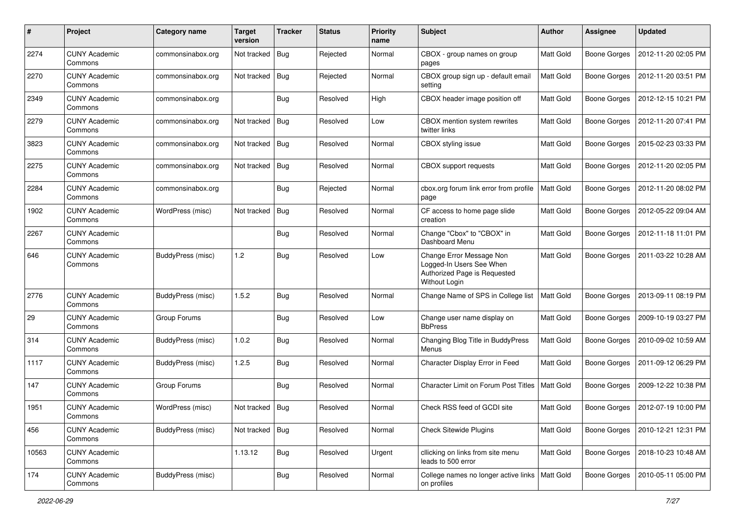| #     | Project                         | Category name            | <b>Target</b><br>version | <b>Tracker</b> | <b>Status</b> | <b>Priority</b><br>name | Subject                                                                                               | Author           | <b>Assignee</b>     | <b>Updated</b>      |
|-------|---------------------------------|--------------------------|--------------------------|----------------|---------------|-------------------------|-------------------------------------------------------------------------------------------------------|------------------|---------------------|---------------------|
| 2274  | <b>CUNY Academic</b><br>Commons | commonsinabox.org        | Not tracked              | <b>Bug</b>     | Rejected      | Normal                  | CBOX - group names on group<br>pages                                                                  | Matt Gold        | <b>Boone Gorges</b> | 2012-11-20 02:05 PM |
| 2270  | <b>CUNY Academic</b><br>Commons | commonsinabox.org        | Not tracked              | <b>Bug</b>     | Rejected      | Normal                  | CBOX group sign up - default email<br>setting                                                         | <b>Matt Gold</b> | <b>Boone Gorges</b> | 2012-11-20 03:51 PM |
| 2349  | CUNY Academic<br>Commons        | commonsinabox.org        |                          | Bug            | Resolved      | High                    | CBOX header image position off                                                                        | <b>Matt Gold</b> | <b>Boone Gorges</b> | 2012-12-15 10:21 PM |
| 2279  | <b>CUNY Academic</b><br>Commons | commonsinabox.org        | Not tracked              | Bug            | Resolved      | Low                     | CBOX mention system rewrites<br>twitter links                                                         | <b>Matt Gold</b> | <b>Boone Gorges</b> | 2012-11-20 07:41 PM |
| 3823  | <b>CUNY Academic</b><br>Commons | commonsinabox.org        | Not tracked              | <b>Bug</b>     | Resolved      | Normal                  | CBOX styling issue                                                                                    | <b>Matt Gold</b> | <b>Boone Gorges</b> | 2015-02-23 03:33 PM |
| 2275  | <b>CUNY Academic</b><br>Commons | commonsinabox.org        | Not tracked              | Bug            | Resolved      | Normal                  | CBOX support requests                                                                                 | Matt Gold        | Boone Gorges        | 2012-11-20 02:05 PM |
| 2284  | <b>CUNY Academic</b><br>Commons | commonsinabox.org        |                          | Bug            | Rejected      | Normal                  | cbox.org forum link error from profile<br>page                                                        | Matt Gold        | <b>Boone Gorges</b> | 2012-11-20 08:02 PM |
| 1902  | <b>CUNY Academic</b><br>Commons | WordPress (misc)         | Not tracked              | Bug            | Resolved      | Normal                  | CF access to home page slide<br>creation                                                              | Matt Gold        | Boone Gorges        | 2012-05-22 09:04 AM |
| 2267  | <b>CUNY Academic</b><br>Commons |                          |                          | Bug            | Resolved      | Normal                  | Change "Cbox" to "CBOX" in<br>Dashboard Menu                                                          | Matt Gold        | Boone Gorges        | 2012-11-18 11:01 PM |
| 646   | CUNY Academic<br>Commons        | BuddyPress (misc)        | 1.2                      | Bug            | Resolved      | Low                     | Change Error Message Non<br>Logged-In Users See When<br>Authorized Page is Requested<br>Without Login | <b>Matt Gold</b> | <b>Boone Gorges</b> | 2011-03-22 10:28 AM |
| 2776  | <b>CUNY Academic</b><br>Commons | BuddyPress (misc)        | 1.5.2                    | Bug            | Resolved      | Normal                  | Change Name of SPS in College list                                                                    | <b>Matt Gold</b> | <b>Boone Gorges</b> | 2013-09-11 08:19 PM |
| 29    | <b>CUNY Academic</b><br>Commons | Group Forums             |                          | Bug            | Resolved      | Low                     | Change user name display on<br><b>BbPress</b>                                                         | Matt Gold        | <b>Boone Gorges</b> | 2009-10-19 03:27 PM |
| 314   | <b>CUNY Academic</b><br>Commons | BuddyPress (misc)        | 1.0.2                    | <b>Bug</b>     | Resolved      | Normal                  | Changing Blog Title in BuddyPress<br>Menus                                                            | Matt Gold        | Boone Gorges        | 2010-09-02 10:59 AM |
| 1117  | <b>CUNY Academic</b><br>Commons | BuddyPress (misc)        | 1.2.5                    | <b>Bug</b>     | Resolved      | Normal                  | Character Display Error in Feed                                                                       | Matt Gold        | Boone Gorges        | 2011-09-12 06:29 PM |
| 147   | <b>CUNY Academic</b><br>Commons | Group Forums             |                          | Bug            | Resolved      | Normal                  | <b>Character Limit on Forum Post Titles</b>                                                           | <b>Matt Gold</b> | <b>Boone Gorges</b> | 2009-12-22 10:38 PM |
| 1951  | <b>CUNY Academic</b><br>Commons | WordPress (misc)         | Not tracked              | <b>Bug</b>     | Resolved      | Normal                  | Check RSS feed of GCDI site                                                                           | Matt Gold        | <b>Boone Gorges</b> | 2012-07-19 10:00 PM |
| 456   | <b>CUNY Academic</b><br>Commons | BuddyPress (misc)        | Not tracked              | Bug            | Resolved      | Normal                  | <b>Check Sitewide Plugins</b>                                                                         | Matt Gold        | Boone Gorges        | 2010-12-21 12:31 PM |
| 10563 | <b>CUNY Academic</b><br>Commons |                          | 1.13.12                  | <b>Bug</b>     | Resolved      | Urgent                  | cllicking on links from site menu<br>leads to 500 error                                               | Matt Gold        | Boone Gorges        | 2018-10-23 10:48 AM |
| 174   | <b>CUNY Academic</b><br>Commons | <b>BuddyPress</b> (misc) |                          | <b>Bug</b>     | Resolved      | Normal                  | College names no longer active links   Matt Gold<br>on profiles                                       |                  | <b>Boone Gorges</b> | 2010-05-11 05:00 PM |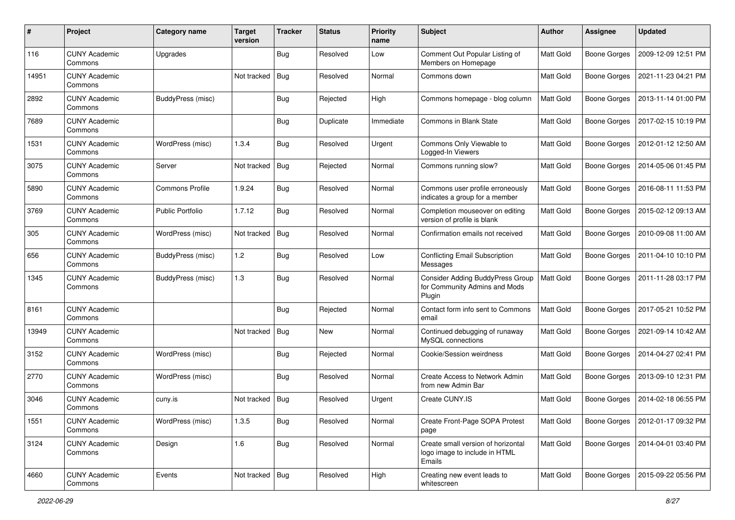| #     | Project                         | Category name          | <b>Target</b><br>version | <b>Tracker</b> | <b>Status</b> | <b>Priority</b><br>name | Subject                                                                            | Author           | Assignee            | <b>Updated</b>      |
|-------|---------------------------------|------------------------|--------------------------|----------------|---------------|-------------------------|------------------------------------------------------------------------------------|------------------|---------------------|---------------------|
| 116   | <b>CUNY Academic</b><br>Commons | Upgrades               |                          | <b>Bug</b>     | Resolved      | Low                     | Comment Out Popular Listing of<br>Members on Homepage                              | Matt Gold        | <b>Boone Gorges</b> | 2009-12-09 12:51 PM |
| 14951 | <b>CUNY Academic</b><br>Commons |                        | Not tracked              | <b>Bug</b>     | Resolved      | Normal                  | Commons down                                                                       | Matt Gold        | <b>Boone Gorges</b> | 2021-11-23 04:21 PM |
| 2892  | CUNY Academic<br>Commons        | BuddyPress (misc)      |                          | <b>Bug</b>     | Rejected      | High                    | Commons homepage - blog column                                                     | <b>Matt Gold</b> | <b>Boone Gorges</b> | 2013-11-14 01:00 PM |
| 7689  | <b>CUNY Academic</b><br>Commons |                        |                          | Bug            | Duplicate     | Immediate               | Commons in Blank State                                                             | <b>Matt Gold</b> | <b>Boone Gorges</b> | 2017-02-15 10:19 PM |
| 1531  | <b>CUNY Academic</b><br>Commons | WordPress (misc)       | 1.3.4                    | Bug            | Resolved      | Urgent                  | Commons Only Viewable to<br>Logged-In Viewers                                      | <b>Matt Gold</b> | <b>Boone Gorges</b> | 2012-01-12 12:50 AM |
| 3075  | <b>CUNY Academic</b><br>Commons | Server                 | Not tracked              | Bug            | Rejected      | Normal                  | Commons running slow?                                                              | Matt Gold        | <b>Boone Gorges</b> | 2014-05-06 01:45 PM |
| 5890  | <b>CUNY Academic</b><br>Commons | <b>Commons Profile</b> | 1.9.24                   | Bug            | Resolved      | Normal                  | Commons user profile erroneously<br>indicates a group for a member                 | Matt Gold        | <b>Boone Gorges</b> | 2016-08-11 11:53 PM |
| 3769  | <b>CUNY Academic</b><br>Commons | Public Portfolio       | 1.7.12                   | <b>Bug</b>     | Resolved      | Normal                  | Completion mouseover on editing<br>version of profile is blank                     | <b>Matt Gold</b> | <b>Boone Gorges</b> | 2015-02-12 09:13 AM |
| 305   | <b>CUNY Academic</b><br>Commons | WordPress (misc)       | Not tracked              | <b>Bug</b>     | Resolved      | Normal                  | Confirmation emails not received                                                   | Matt Gold        | <b>Boone Gorges</b> | 2010-09-08 11:00 AM |
| 656   | <b>CUNY Academic</b><br>Commons | BuddyPress (misc)      | 1.2                      | Bug            | Resolved      | Low                     | <b>Conflicting Email Subscription</b><br>Messages                                  | Matt Gold        | <b>Boone Gorges</b> | 2011-04-10 10:10 PM |
| 1345  | <b>CUNY Academic</b><br>Commons | BuddyPress (misc)      | 1.3                      | Bug            | Resolved      | Normal                  | <b>Consider Adding BuddyPress Group</b><br>for Community Admins and Mods<br>Plugin | Matt Gold        | <b>Boone Gorges</b> | 2011-11-28 03:17 PM |
| 8161  | <b>CUNY Academic</b><br>Commons |                        |                          | Bug            | Rejected      | Normal                  | Contact form info sent to Commons<br>email                                         | <b>Matt Gold</b> | <b>Boone Gorges</b> | 2017-05-21 10:52 PM |
| 13949 | <b>CUNY Academic</b><br>Commons |                        | Not tracked              | <b>Bug</b>     | New           | Normal                  | Continued debugging of runaway<br>MySQL connections                                | <b>Matt Gold</b> | <b>Boone Gorges</b> | 2021-09-14 10:42 AM |
| 3152  | <b>CUNY Academic</b><br>Commons | WordPress (misc)       |                          | Bug            | Rejected      | Normal                  | Cookie/Session weirdness                                                           | Matt Gold        | <b>Boone Gorges</b> | 2014-04-27 02:41 PM |
| 2770  | <b>CUNY Academic</b><br>Commons | WordPress (misc)       |                          | <b>Bug</b>     | Resolved      | Normal                  | Create Access to Network Admin<br>from new Admin Bar                               | <b>Matt Gold</b> | <b>Boone Gorges</b> | 2013-09-10 12:31 PM |
| 3046  | <b>CUNY Academic</b><br>Commons | cuny.is                | Not tracked              | <b>Bug</b>     | Resolved      | Urgent                  | Create CUNY.IS                                                                     | <b>Matt Gold</b> | <b>Boone Gorges</b> | 2014-02-18 06:55 PM |
| 1551  | <b>CUNY Academic</b><br>Commons | WordPress (misc)       | 1.3.5                    | <b>Bug</b>     | Resolved      | Normal                  | Create Front-Page SOPA Protest<br>page                                             | Matt Gold        | <b>Boone Gorges</b> | 2012-01-17 09:32 PM |
| 3124  | <b>CUNY Academic</b><br>Commons | Design                 | 1.6                      | <b>Bug</b>     | Resolved      | Normal                  | Create small version of horizontal<br>logo image to include in HTML<br>Emails      | Matt Gold        | Boone Gorges        | 2014-04-01 03:40 PM |
| 4660  | <b>CUNY Academic</b><br>Commons | Events                 | Not tracked   Bug        |                | Resolved      | High                    | Creating new event leads to<br>whitescreen                                         | Matt Gold        | <b>Boone Gorges</b> | 2015-09-22 05:56 PM |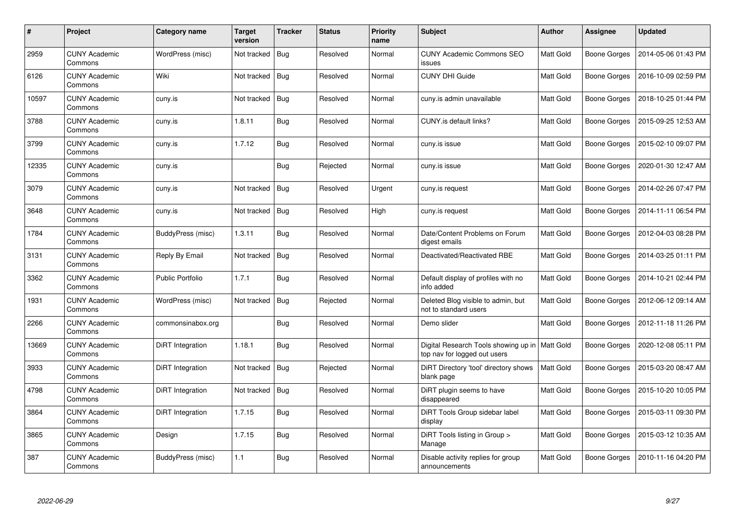| $\#$  | <b>Project</b>                  | Category name     | Target<br>version | <b>Tracker</b> | <b>Status</b> | <b>Priority</b><br>name | <b>Subject</b>                                                                   | <b>Author</b> | <b>Assignee</b>     | <b>Updated</b>      |
|-------|---------------------------------|-------------------|-------------------|----------------|---------------|-------------------------|----------------------------------------------------------------------------------|---------------|---------------------|---------------------|
| 2959  | <b>CUNY Academic</b><br>Commons | WordPress (misc)  | Not tracked       | <b>Bug</b>     | Resolved      | Normal                  | <b>CUNY Academic Commons SEO</b><br>issues                                       | Matt Gold     | <b>Boone Gorges</b> | 2014-05-06 01:43 PM |
| 6126  | <b>CUNY Academic</b><br>Commons | Wiki              | Not tracked       | <b>Bug</b>     | Resolved      | Normal                  | <b>CUNY DHI Guide</b>                                                            | Matt Gold     | Boone Gorges        | 2016-10-09 02:59 PM |
| 10597 | <b>CUNY Academic</b><br>Commons | cuny.is           | Not tracked       | <b>Bug</b>     | Resolved      | Normal                  | cuny.is admin unavailable                                                        | Matt Gold     | Boone Gorges        | 2018-10-25 01:44 PM |
| 3788  | <b>CUNY Academic</b><br>Commons | cuny.is           | 1.8.11            | <b>Bug</b>     | Resolved      | Normal                  | CUNY.is default links?                                                           | Matt Gold     | Boone Gorges        | 2015-09-25 12:53 AM |
| 3799  | <b>CUNY Academic</b><br>Commons | cuny.is           | 1.7.12            | <b>Bug</b>     | Resolved      | Normal                  | cuny.is issue                                                                    | Matt Gold     | Boone Gorges        | 2015-02-10 09:07 PM |
| 12335 | <b>CUNY Academic</b><br>Commons | cuny.is           |                   | <b>Bug</b>     | Rejected      | Normal                  | cuny.is issue                                                                    | Matt Gold     | Boone Gorges        | 2020-01-30 12:47 AM |
| 3079  | <b>CUNY Academic</b><br>Commons | cuny.is           | Not tracked       | <b>Bug</b>     | Resolved      | Urgent                  | cuny.is request                                                                  | Matt Gold     | <b>Boone Gorges</b> | 2014-02-26 07:47 PM |
| 3648  | <b>CUNY Academic</b><br>Commons | cuny.is           | Not tracked       | <b>Bug</b>     | Resolved      | High                    | cuny.is request                                                                  | Matt Gold     | Boone Gorges        | 2014-11-11 06:54 PM |
| 1784  | <b>CUNY Academic</b><br>Commons | BuddyPress (misc) | 1.3.11            | Bug            | Resolved      | Normal                  | Date/Content Problems on Forum<br>digest emails                                  | Matt Gold     | Boone Gorges        | 2012-04-03 08:28 PM |
| 3131  | <b>CUNY Academic</b><br>Commons | Reply By Email    | Not tracked       | Bug            | Resolved      | Normal                  | Deactivated/Reactivated RBE                                                      | Matt Gold     | Boone Gorges        | 2014-03-25 01:11 PM |
| 3362  | <b>CUNY Academic</b><br>Commons | Public Portfolio  | 1.7.1             | <b>Bug</b>     | Resolved      | Normal                  | Default display of profiles with no<br>info added                                | Matt Gold     | Boone Gorges        | 2014-10-21 02:44 PM |
| 1931  | <b>CUNY Academic</b><br>Commons | WordPress (misc)  | Not tracked       | Bug            | Rejected      | Normal                  | Deleted Blog visible to admin, but<br>not to standard users                      | Matt Gold     | Boone Gorges        | 2012-06-12 09:14 AM |
| 2266  | <b>CUNY Academic</b><br>Commons | commonsinabox.org |                   | Bug            | Resolved      | Normal                  | Demo slider                                                                      | Matt Gold     | Boone Gorges        | 2012-11-18 11:26 PM |
| 13669 | <b>CUNY Academic</b><br>Commons | DiRT Integration  | 1.18.1            | <b>Bug</b>     | Resolved      | Normal                  | Digital Research Tools showing up in   Matt Gold<br>top nav for logged out users |               | Boone Gorges        | 2020-12-08 05:11 PM |
| 3933  | <b>CUNY Academic</b><br>Commons | DiRT Integration  | Not tracked       | <b>Bug</b>     | Rejected      | Normal                  | DiRT Directory 'tool' directory shows<br>blank page                              | Matt Gold     | Boone Gorges        | 2015-03-20 08:47 AM |
| 4798  | <b>CUNY Academic</b><br>Commons | DiRT Integration  | Not tracked       | Bug            | Resolved      | Normal                  | DiRT plugin seems to have<br>disappeared                                         | Matt Gold     | Boone Gorges        | 2015-10-20 10:05 PM |
| 3864  | <b>CUNY Academic</b><br>Commons | DiRT Integration  | 1.7.15            | <b>Bug</b>     | Resolved      | Normal                  | DiRT Tools Group sidebar label<br>display                                        | Matt Gold     | Boone Gorges        | 2015-03-11 09:30 PM |
| 3865  | <b>CUNY Academic</b><br>Commons | Design            | 1.7.15            | <b>Bug</b>     | Resolved      | Normal                  | DiRT Tools listing in Group ><br>Manage                                          | Matt Gold     | Boone Gorges        | 2015-03-12 10:35 AM |
| 387   | <b>CUNY Academic</b><br>Commons | BuddyPress (misc) | 1.1               | <b>Bug</b>     | Resolved      | Normal                  | Disable activity replies for group<br>announcements                              | Matt Gold     | Boone Gorges        | 2010-11-16 04:20 PM |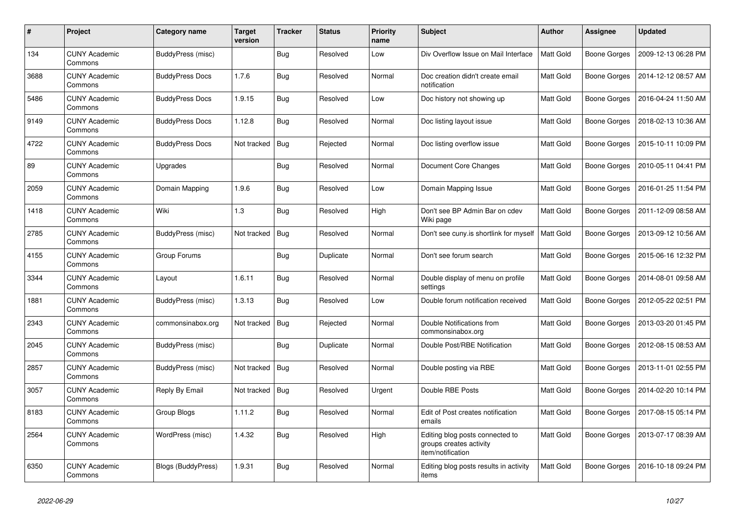| #    | Project                         | Category name             | <b>Target</b><br>version | <b>Tracker</b> | <b>Status</b> | <b>Priority</b><br>name | <b>Subject</b>                                                                  | <b>Author</b>    | Assignee            | <b>Updated</b>      |
|------|---------------------------------|---------------------------|--------------------------|----------------|---------------|-------------------------|---------------------------------------------------------------------------------|------------------|---------------------|---------------------|
| 134  | <b>CUNY Academic</b><br>Commons | BuddyPress (misc)         |                          | <b>Bug</b>     | Resolved      | Low                     | Div Overflow Issue on Mail Interface                                            | <b>Matt Gold</b> | <b>Boone Gorges</b> | 2009-12-13 06:28 PM |
| 3688 | <b>CUNY Academic</b><br>Commons | <b>BuddyPress Docs</b>    | 1.7.6                    | <b>Bug</b>     | Resolved      | Normal                  | Doc creation didn't create email<br>notification                                | Matt Gold        | Boone Gorges        | 2014-12-12 08:57 AM |
| 5486 | <b>CUNY Academic</b><br>Commons | <b>BuddyPress Docs</b>    | 1.9.15                   | <b>Bug</b>     | Resolved      | Low                     | Doc history not showing up                                                      | Matt Gold        | <b>Boone Gorges</b> | 2016-04-24 11:50 AM |
| 9149 | <b>CUNY Academic</b><br>Commons | <b>BuddyPress Docs</b>    | 1.12.8                   | <b>Bug</b>     | Resolved      | Normal                  | Doc listing layout issue                                                        | Matt Gold        | Boone Gorges        | 2018-02-13 10:36 AM |
| 4722 | <b>CUNY Academic</b><br>Commons | <b>BuddyPress Docs</b>    | Not tracked              | Bug            | Rejected      | Normal                  | Doc listing overflow issue                                                      | Matt Gold        | <b>Boone Gorges</b> | 2015-10-11 10:09 PM |
| 89   | <b>CUNY Academic</b><br>Commons | Upgrades                  |                          | <b>Bug</b>     | Resolved      | Normal                  | Document Core Changes                                                           | Matt Gold        | <b>Boone Gorges</b> | 2010-05-11 04:41 PM |
| 2059 | <b>CUNY Academic</b><br>Commons | Domain Mapping            | 1.9.6                    | Bug            | Resolved      | Low                     | Domain Mapping Issue                                                            | Matt Gold        | Boone Gorges        | 2016-01-25 11:54 PM |
| 1418 | <b>CUNY Academic</b><br>Commons | Wiki                      | 1.3                      | <b>Bug</b>     | Resolved      | High                    | Don't see BP Admin Bar on cdev<br>Wiki page                                     | Matt Gold        | Boone Gorges        | 2011-12-09 08:58 AM |
| 2785 | <b>CUNY Academic</b><br>Commons | BuddyPress (misc)         | Not tracked              | <b>Bug</b>     | Resolved      | Normal                  | Don't see cuny.is shortlink for myself                                          | Matt Gold        | <b>Boone Gorges</b> | 2013-09-12 10:56 AM |
| 4155 | <b>CUNY Academic</b><br>Commons | Group Forums              |                          | Bug            | Duplicate     | Normal                  | Don't see forum search                                                          | Matt Gold        | <b>Boone Gorges</b> | 2015-06-16 12:32 PM |
| 3344 | <b>CUNY Academic</b><br>Commons | Layout                    | 1.6.11                   | <b>Bug</b>     | Resolved      | Normal                  | Double display of menu on profile<br>settings                                   | Matt Gold        | <b>Boone Gorges</b> | 2014-08-01 09:58 AM |
| 1881 | <b>CUNY Academic</b><br>Commons | BuddyPress (misc)         | 1.3.13                   | Bug            | Resolved      | Low                     | Double forum notification received                                              | Matt Gold        | <b>Boone Gorges</b> | 2012-05-22 02:51 PM |
| 2343 | <b>CUNY Academic</b><br>Commons | commonsinabox.org         | Not tracked              | Bug            | Rejected      | Normal                  | Double Notifications from<br>commonsinabox.org                                  | Matt Gold        | <b>Boone Gorges</b> | 2013-03-20 01:45 PM |
| 2045 | <b>CUNY Academic</b><br>Commons | BuddyPress (misc)         |                          | Bug            | Duplicate     | Normal                  | Double Post/RBE Notification                                                    | <b>Matt Gold</b> | <b>Boone Gorges</b> | 2012-08-15 08:53 AM |
| 2857 | <b>CUNY Academic</b><br>Commons | BuddyPress (misc)         | Not tracked              | <b>Bug</b>     | Resolved      | Normal                  | Double posting via RBE                                                          | Matt Gold        | <b>Boone Gorges</b> | 2013-11-01 02:55 PM |
| 3057 | <b>CUNY Academic</b><br>Commons | Reply By Email            | Not tracked              | Bug            | Resolved      | Urgent                  | Double RBE Posts                                                                | Matt Gold        | <b>Boone Gorges</b> | 2014-02-20 10:14 PM |
| 8183 | <b>CUNY Academic</b><br>Commons | Group Blogs               | 1.11.2                   | <b>Bug</b>     | Resolved      | Normal                  | Edit of Post creates notification<br>emails                                     | Matt Gold        | <b>Boone Gorges</b> | 2017-08-15 05:14 PM |
| 2564 | <b>CUNY Academic</b><br>Commons | WordPress (misc)          | 1.4.32                   | <b>Bug</b>     | Resolved      | High                    | Editing blog posts connected to<br>groups creates activity<br>item/notification | Matt Gold        | <b>Boone Gorges</b> | 2013-07-17 08:39 AM |
| 6350 | <b>CUNY Academic</b><br>Commons | <b>Blogs (BuddyPress)</b> | 1.9.31                   | <b>Bug</b>     | Resolved      | Normal                  | Editing blog posts results in activity<br>items                                 | Matt Gold        | <b>Boone Gorges</b> | 2016-10-18 09:24 PM |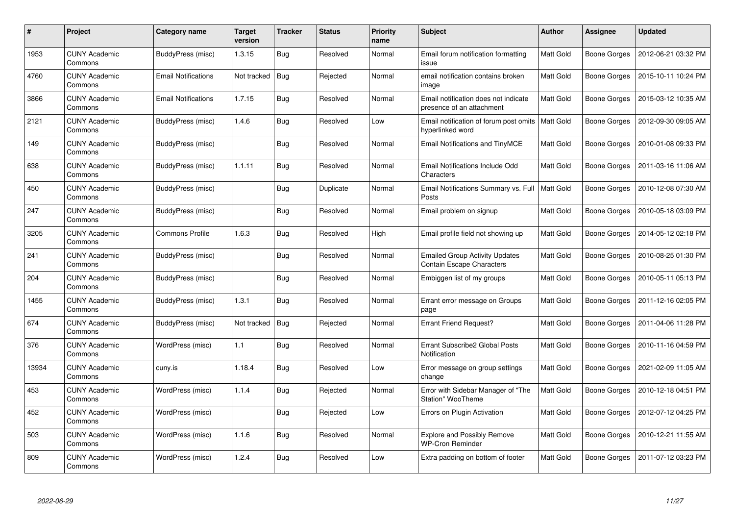| #     | Project                         | Category name          | Target<br>version | <b>Tracker</b> | <b>Status</b> | <b>Priority</b><br>name | <b>Subject</b>                                                            | Author           | Assignee            | <b>Updated</b>      |
|-------|---------------------------------|------------------------|-------------------|----------------|---------------|-------------------------|---------------------------------------------------------------------------|------------------|---------------------|---------------------|
| 1953  | <b>CUNY Academic</b><br>Commons | BuddyPress (misc)      | 1.3.15            | <b>Bug</b>     | Resolved      | Normal                  | Email forum notification formatting<br>issue                              | <b>Matt Gold</b> | <b>Boone Gorges</b> | 2012-06-21 03:32 PM |
| 4760  | <b>CUNY Academic</b><br>Commons | Email Notifications    | Not tracked       | <b>Bug</b>     | Rejected      | Normal                  | email notification contains broken<br>image                               | <b>Matt Gold</b> | <b>Boone Gorges</b> | 2015-10-11 10:24 PM |
| 3866  | <b>CUNY Academic</b><br>Commons | Email Notifications    | 1.7.15            | <b>Bug</b>     | Resolved      | Normal                  | Email notification does not indicate<br>presence of an attachment         | <b>Matt Gold</b> | <b>Boone Gorges</b> | 2015-03-12 10:35 AM |
| 2121  | <b>CUNY Academic</b><br>Commons | BuddyPress (misc)      | 1.4.6             | <b>Bug</b>     | Resolved      | Low                     | Email notification of forum post omits<br>hyperlinked word                | Matt Gold        | Boone Gorges        | 2012-09-30 09:05 AM |
| 149   | <b>CUNY Academic</b><br>Commons | BuddyPress (misc)      |                   | <b>Bug</b>     | Resolved      | Normal                  | <b>Email Notifications and TinyMCE</b>                                    | Matt Gold        | <b>Boone Gorges</b> | 2010-01-08 09:33 PM |
| 638   | <b>CUNY Academic</b><br>Commons | BuddyPress (misc)      | 1.1.11            | Bug            | Resolved      | Normal                  | <b>Email Notifications Include Odd</b><br>Characters                      | Matt Gold        | <b>Boone Gorges</b> | 2011-03-16 11:06 AM |
| 450   | <b>CUNY Academic</b><br>Commons | BuddyPress (misc)      |                   | <b>Bug</b>     | Duplicate     | Normal                  | Email Notifications Summary vs. Full<br>Posts                             | <b>Matt Gold</b> | <b>Boone Gorges</b> | 2010-12-08 07:30 AM |
| 247   | <b>CUNY Academic</b><br>Commons | BuddyPress (misc)      |                   | <b>Bug</b>     | Resolved      | Normal                  | Email problem on signup                                                   | Matt Gold        | <b>Boone Gorges</b> | 2010-05-18 03:09 PM |
| 3205  | <b>CUNY Academic</b><br>Commons | <b>Commons Profile</b> | 1.6.3             | <b>Bug</b>     | Resolved      | High                    | Email profile field not showing up                                        | Matt Gold        | <b>Boone Gorges</b> | 2014-05-12 02:18 PM |
| 241   | <b>CUNY Academic</b><br>Commons | BuddyPress (misc)      |                   | <b>Bug</b>     | Resolved      | Normal                  | <b>Emailed Group Activity Updates</b><br><b>Contain Escape Characters</b> | <b>Matt Gold</b> | Boone Gorges        | 2010-08-25 01:30 PM |
| 204   | <b>CUNY Academic</b><br>Commons | BuddyPress (misc)      |                   | <b>Bug</b>     | Resolved      | Normal                  | Embiggen list of my groups                                                | Matt Gold        | <b>Boone Gorges</b> | 2010-05-11 05:13 PM |
| 1455  | <b>CUNY Academic</b><br>Commons | BuddyPress (misc)      | 1.3.1             | <b>Bug</b>     | Resolved      | Normal                  | Errant error message on Groups<br>page                                    | Matt Gold        | <b>Boone Gorges</b> | 2011-12-16 02:05 PM |
| 674   | <b>CUNY Academic</b><br>Commons | BuddyPress (misc)      | Not tracked       | Bug            | Rejected      | Normal                  | <b>Errant Friend Request?</b>                                             | Matt Gold        | Boone Gorges        | 2011-04-06 11:28 PM |
| 376   | <b>CUNY Academic</b><br>Commons | WordPress (misc)       | 1.1               | <b>Bug</b>     | Resolved      | Normal                  | Errant Subscribe2 Global Posts<br>Notification                            | Matt Gold        | <b>Boone Gorges</b> | 2010-11-16 04:59 PM |
| 13934 | <b>CUNY Academic</b><br>Commons | cuny.is                | 1.18.4            | Bug            | Resolved      | Low                     | Error message on group settings<br>change                                 | Matt Gold        | <b>Boone Gorges</b> | 2021-02-09 11:05 AM |
| 453   | <b>CUNY Academic</b><br>Commons | WordPress (misc)       | 1.1.4             | <b>Bug</b>     | Rejected      | Normal                  | Error with Sidebar Manager of "The<br>Station" WooTheme                   | Matt Gold        | <b>Boone Gorges</b> | 2010-12-18 04:51 PM |
| 452   | <b>CUNY Academic</b><br>Commons | WordPress (misc)       |                   | Bug            | Rejected      | Low                     | Errors on Plugin Activation                                               | Matt Gold        | Boone Gorges        | 2012-07-12 04:25 PM |
| 503   | <b>CUNY Academic</b><br>Commons | WordPress (misc)       | 1.1.6             | <b>Bug</b>     | Resolved      | Normal                  | <b>Explore and Possibly Remove</b><br><b>WP-Cron Reminder</b>             | Matt Gold        | <b>Boone Gorges</b> | 2010-12-21 11:55 AM |
| 809   | CUNY Academic<br>Commons        | WordPress (misc)       | 1.2.4             | <b>Bug</b>     | Resolved      | Low                     | Extra padding on bottom of footer                                         | Matt Gold        | Boone Gorges        | 2011-07-12 03:23 PM |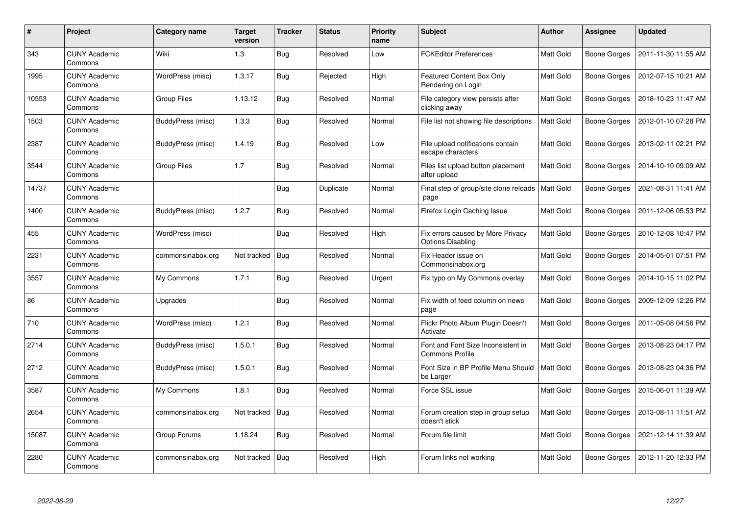| #     | <b>Project</b>                  | Category name            | <b>Target</b><br>version | <b>Tracker</b> | <b>Status</b> | <b>Priority</b><br>name | <b>Subject</b>                                                | <b>Author</b>    | <b>Assignee</b>     | <b>Updated</b>      |
|-------|---------------------------------|--------------------------|--------------------------|----------------|---------------|-------------------------|---------------------------------------------------------------|------------------|---------------------|---------------------|
| 343   | <b>CUNY Academic</b><br>Commons | Wiki                     | 1.3                      | <b>Bug</b>     | Resolved      | Low                     | <b>FCKEditor Preferences</b>                                  | Matt Gold        | <b>Boone Gorges</b> | 2011-11-30 11:55 AM |
| 1995  | <b>CUNY Academic</b><br>Commons | WordPress (misc)         | 1.3.17                   | <b>Bug</b>     | Rejected      | High                    | <b>Featured Content Box Only</b><br>Rendering on Login        | Matt Gold        | Boone Gorges        | 2012-07-15 10:21 AM |
| 10553 | <b>CUNY Academic</b><br>Commons | Group Files              | 1.13.12                  | <b>Bug</b>     | Resolved      | Normal                  | File category view persists after<br>clicking away            | Matt Gold        | Boone Gorges        | 2018-10-23 11:47 AM |
| 1503  | <b>CUNY Academic</b><br>Commons | BuddyPress (misc)        | 1.3.3                    | <b>Bug</b>     | Resolved      | Normal                  | File list not showing file descriptions                       | Matt Gold        | Boone Gorges        | 2012-01-10 07:28 PM |
| 2387  | <b>CUNY Academic</b><br>Commons | BuddyPress (misc)        | 1.4.19                   | <b>Bug</b>     | Resolved      | Low                     | File upload notifications contain<br>escape characters        | Matt Gold        | Boone Gorges        | 2013-02-11 02:21 PM |
| 3544  | <b>CUNY Academic</b><br>Commons | <b>Group Files</b>       | 1.7                      | <b>Bug</b>     | Resolved      | Normal                  | Files list upload button placement<br>after upload            | Matt Gold        | Boone Gorges        | 2014-10-10 09:09 AM |
| 14737 | <b>CUNY Academic</b><br>Commons |                          |                          | <b>Bug</b>     | Duplicate     | Normal                  | Final step of group/site clone reloads<br>page                | <b>Matt Gold</b> | <b>Boone Gorges</b> | 2021-08-31 11:41 AM |
| 1400  | <b>CUNY Academic</b><br>Commons | BuddyPress (misc)        | 1.2.7                    | <b>Bug</b>     | Resolved      | Normal                  | Firefox Login Caching Issue                                   | Matt Gold        | Boone Gorges        | 2011-12-06 05:53 PM |
| 455   | <b>CUNY Academic</b><br>Commons | WordPress (misc)         |                          | Bug            | Resolved      | High                    | Fix errors caused by More Privacy<br><b>Options Disabling</b> | Matt Gold        | Boone Gorges        | 2010-12-08 10:47 PM |
| 2231  | <b>CUNY Academic</b><br>Commons | commonsinabox.org        | Not tracked              | <b>Bug</b>     | Resolved      | Normal                  | Fix Header issue on<br>Commonsinabox.org                      | Matt Gold        | Boone Gorges        | 2014-05-01 07:51 PM |
| 3557  | <b>CUNY Academic</b><br>Commons | My Commons               | 1.7.1                    | <b>Bug</b>     | Resolved      | Urgent                  | Fix typo on My Commons overlay                                | Matt Gold        | Boone Gorges        | 2014-10-15 11:02 PM |
| 86    | <b>CUNY Academic</b><br>Commons | Upgrades                 |                          | <b>Bug</b>     | Resolved      | Normal                  | Fix width of feed column on news<br>page                      | Matt Gold        | Boone Gorges        | 2009-12-09 12:26 PM |
| 710   | <b>CUNY Academic</b><br>Commons | WordPress (misc)         | 1.2.1                    | Bug            | Resolved      | Normal                  | Flickr Photo Album Plugin Doesn't<br>Activate                 | Matt Gold        | Boone Gorges        | 2011-05-08 04:56 PM |
| 2714  | <b>CUNY Academic</b><br>Commons | BuddyPress (misc)        | 1.5.0.1                  | <b>Bug</b>     | Resolved      | Normal                  | Font and Font Size Inconsistent in<br><b>Commons Profile</b>  | Matt Gold        | Boone Gorges        | 2013-08-23 04:17 PM |
| 2712  | <b>CUNY Academic</b><br>Commons | <b>BuddyPress (misc)</b> | 1.5.0.1                  | <b>Bug</b>     | Resolved      | Normal                  | Font Size in BP Profile Menu Should<br>be Larger              | Matt Gold        | Boone Gorges        | 2013-08-23 04:36 PM |
| 3587  | <b>CUNY Academic</b><br>Commons | My Commons               | 1.8.1                    | <b>Bug</b>     | Resolved      | Normal                  | Force SSL issue                                               | Matt Gold        | Boone Gorges        | 2015-06-01 11:39 AM |
| 2654  | <b>CUNY Academic</b><br>Commons | commonsinabox.org        | Not tracked              | <b>Bug</b>     | Resolved      | Normal                  | Forum creation step in group setup<br>doesn't stick           | Matt Gold        | Boone Gorges        | 2013-08-11 11:51 AM |
| 15087 | <b>CUNY Academic</b><br>Commons | Group Forums             | 1.18.24                  | <b>Bug</b>     | Resolved      | Normal                  | Forum file limit                                              | Matt Gold        | Boone Gorges        | 2021-12-14 11:39 AM |
| 2280  | <b>CUNY Academic</b><br>Commons | commonsinabox.org        | Not tracked              | <b>Bug</b>     | Resolved      | High                    | Forum links not working                                       | Matt Gold        | Boone Gorges        | 2012-11-20 12:33 PM |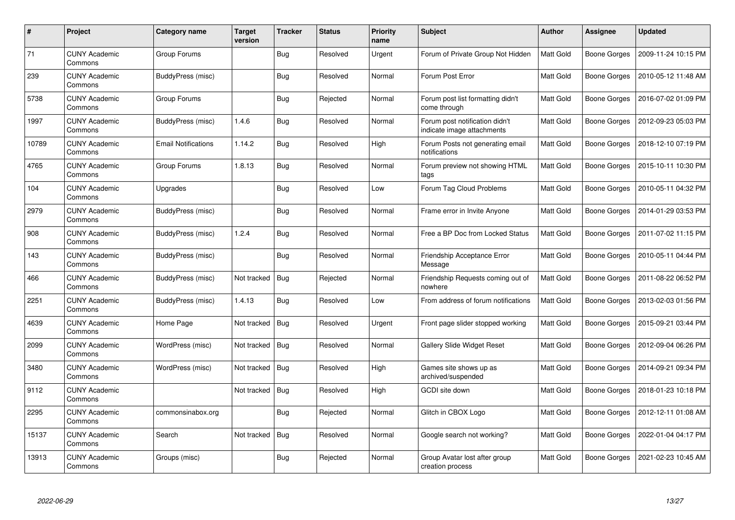| #     | Project                         | Category name              | Target<br>version | <b>Tracker</b> | <b>Status</b> | <b>Priority</b><br>name | <b>Subject</b>                                               | Author           | Assignee            | <b>Updated</b>      |
|-------|---------------------------------|----------------------------|-------------------|----------------|---------------|-------------------------|--------------------------------------------------------------|------------------|---------------------|---------------------|
| 71    | <b>CUNY Academic</b><br>Commons | Group Forums               |                   | <b>Bug</b>     | Resolved      | Urgent                  | Forum of Private Group Not Hidden                            | <b>Matt Gold</b> | <b>Boone Gorges</b> | 2009-11-24 10:15 PM |
| 239   | <b>CUNY Academic</b><br>Commons | BuddyPress (misc)          |                   | Bug            | Resolved      | Normal                  | Forum Post Error                                             | <b>Matt Gold</b> | <b>Boone Gorges</b> | 2010-05-12 11:48 AM |
| 5738  | <b>CUNY Academic</b><br>Commons | Group Forums               |                   | Bug            | Rejected      | Normal                  | Forum post list formatting didn't<br>come through            | <b>Matt Gold</b> | <b>Boone Gorges</b> | 2016-07-02 01:09 PM |
| 1997  | <b>CUNY Academic</b><br>Commons | BuddyPress (misc)          | 1.4.6             | <b>Bug</b>     | Resolved      | Normal                  | Forum post notification didn't<br>indicate image attachments | <b>Matt Gold</b> | Boone Gorges        | 2012-09-23 05:03 PM |
| 10789 | <b>CUNY Academic</b><br>Commons | <b>Email Notifications</b> | 1.14.2            | <b>Bug</b>     | Resolved      | High                    | Forum Posts not generating email<br>notifications            | Matt Gold        | <b>Boone Gorges</b> | 2018-12-10 07:19 PM |
| 4765  | <b>CUNY Academic</b><br>Commons | Group Forums               | 1.8.13            | <b>Bug</b>     | Resolved      | Normal                  | Forum preview not showing HTML<br>tags                       | <b>Matt Gold</b> | <b>Boone Gorges</b> | 2015-10-11 10:30 PM |
| 104   | <b>CUNY Academic</b><br>Commons | Upgrades                   |                   | <b>Bug</b>     | Resolved      | Low                     | Forum Tag Cloud Problems                                     | Matt Gold        | <b>Boone Gorges</b> | 2010-05-11 04:32 PM |
| 2979  | <b>CUNY Academic</b><br>Commons | BuddyPress (misc)          |                   | Bug            | Resolved      | Normal                  | Frame error in Invite Anyone                                 | Matt Gold        | <b>Boone Gorges</b> | 2014-01-29 03:53 PM |
| 908   | <b>CUNY Academic</b><br>Commons | BuddyPress (misc)          | 1.2.4             | Bug            | Resolved      | Normal                  | Free a BP Doc from Locked Status                             | Matt Gold        | <b>Boone Gorges</b> | 2011-07-02 11:15 PM |
| 143   | <b>CUNY Academic</b><br>Commons | BuddyPress (misc)          |                   | <b>Bug</b>     | Resolved      | Normal                  | Friendship Acceptance Error<br>Message                       | <b>Matt Gold</b> | Boone Gorges        | 2010-05-11 04:44 PM |
| 466   | <b>CUNY Academic</b><br>Commons | BuddyPress (misc)          | Not tracked       | <b>Bug</b>     | Rejected      | Normal                  | Friendship Requests coming out of<br>nowhere                 | Matt Gold        | <b>Boone Gorges</b> | 2011-08-22 06:52 PM |
| 2251  | <b>CUNY Academic</b><br>Commons | BuddyPress (misc)          | 1.4.13            | <b>Bug</b>     | Resolved      | Low                     | From address of forum notifications                          | Matt Gold        | <b>Boone Gorges</b> | 2013-02-03 01:56 PM |
| 4639  | <b>CUNY Academic</b><br>Commons | Home Page                  | Not tracked       | Bug            | Resolved      | Urgent                  | Front page slider stopped working                            | Matt Gold        | Boone Gorges        | 2015-09-21 03:44 PM |
| 2099  | <b>CUNY Academic</b><br>Commons | WordPress (misc)           | Not tracked       | Bug            | Resolved      | Normal                  | <b>Gallery Slide Widget Reset</b>                            | Matt Gold        | <b>Boone Gorges</b> | 2012-09-04 06:26 PM |
| 3480  | <b>CUNY Academic</b><br>Commons | WordPress (misc)           | Not tracked       | <b>Bug</b>     | Resolved      | High                    | Games site shows up as<br>archived/suspended                 | Matt Gold        | <b>Boone Gorges</b> | 2014-09-21 09:34 PM |
| 9112  | <b>CUNY Academic</b><br>Commons |                            | Not tracked       | <b>Bug</b>     | Resolved      | High                    | <b>GCDI</b> site down                                        | Matt Gold        | <b>Boone Gorges</b> | 2018-01-23 10:18 PM |
| 2295  | <b>CUNY Academic</b><br>Commons | commonsinabox.org          |                   | Bug            | Rejected      | Normal                  | Glitch in CBOX Logo                                          | Matt Gold        | Boone Gorges        | 2012-12-11 01:08 AM |
| 15137 | <b>CUNY Academic</b><br>Commons | Search                     | Not tracked       | Bug            | Resolved      | Normal                  | Google search not working?                                   | Matt Gold        | <b>Boone Gorges</b> | 2022-01-04 04:17 PM |
| 13913 | <b>CUNY Academic</b><br>Commons | Groups (misc)              |                   | <b>Bug</b>     | Rejected      | Normal                  | Group Avatar lost after group<br>creation process            | Matt Gold        | Boone Gorges        | 2021-02-23 10:45 AM |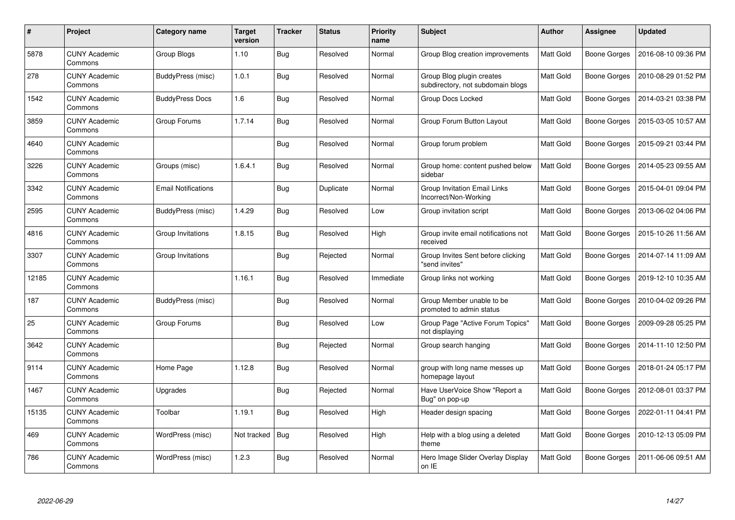| $\#$  | <b>Project</b>                  | Category name              | <b>Target</b><br>version | <b>Tracker</b> | <b>Status</b> | <b>Priority</b><br>name | <b>Subject</b>                                                 | <b>Author</b> | <b>Assignee</b>     | <b>Updated</b>      |
|-------|---------------------------------|----------------------------|--------------------------|----------------|---------------|-------------------------|----------------------------------------------------------------|---------------|---------------------|---------------------|
| 5878  | <b>CUNY Academic</b><br>Commons | Group Blogs                | 1.10                     | <b>Bug</b>     | Resolved      | Normal                  | Group Blog creation improvements                               | Matt Gold     | <b>Boone Gorges</b> | 2016-08-10 09:36 PM |
| 278   | <b>CUNY Academic</b><br>Commons | BuddyPress (misc)          | 1.0.1                    | <b>Bug</b>     | Resolved      | Normal                  | Group Blog plugin creates<br>subdirectory, not subdomain blogs | Matt Gold     | Boone Gorges        | 2010-08-29 01:52 PM |
| 1542  | <b>CUNY Academic</b><br>Commons | <b>BuddyPress Docs</b>     | 1.6                      | <b>Bug</b>     | Resolved      | Normal                  | Group Docs Locked                                              | Matt Gold     | Boone Gorges        | 2014-03-21 03:38 PM |
| 3859  | <b>CUNY Academic</b><br>Commons | Group Forums               | 1.7.14                   | <b>Bug</b>     | Resolved      | Normal                  | Group Forum Button Layout                                      | Matt Gold     | Boone Gorges        | 2015-03-05 10:57 AM |
| 4640  | <b>CUNY Academic</b><br>Commons |                            |                          | <b>Bug</b>     | Resolved      | Normal                  | Group forum problem                                            | Matt Gold     | Boone Gorges        | 2015-09-21 03:44 PM |
| 3226  | <b>CUNY Academic</b><br>Commons | Groups (misc)              | 1.6.4.1                  | <b>Bug</b>     | Resolved      | Normal                  | Group home: content pushed below<br>sidebar                    | Matt Gold     | Boone Gorges        | 2014-05-23 09:55 AM |
| 3342  | <b>CUNY Academic</b><br>Commons | <b>Email Notifications</b> |                          | <b>Bug</b>     | Duplicate     | Normal                  | <b>Group Invitation Email Links</b><br>Incorrect/Non-Working   | Matt Gold     | Boone Gorges        | 2015-04-01 09:04 PM |
| 2595  | <b>CUNY Academic</b><br>Commons | BuddyPress (misc)          | 1.4.29                   | <b>Bug</b>     | Resolved      | Low                     | Group invitation script                                        | Matt Gold     | Boone Gorges        | 2013-06-02 04:06 PM |
| 4816  | <b>CUNY Academic</b><br>Commons | Group Invitations          | 1.8.15                   | <b>Bug</b>     | Resolved      | High                    | Group invite email notifications not<br>received               | Matt Gold     | Boone Gorges        | 2015-10-26 11:56 AM |
| 3307  | <b>CUNY Academic</b><br>Commons | Group Invitations          |                          | <b>Bug</b>     | Rejected      | Normal                  | Group Invites Sent before clicking<br>"send invites"           | Matt Gold     | Boone Gorges        | 2014-07-14 11:09 AM |
| 12185 | <b>CUNY Academic</b><br>Commons |                            | 1.16.1                   | Bug            | Resolved      | Immediate               | Group links not working                                        | Matt Gold     | Boone Gorges        | 2019-12-10 10:35 AM |
| 187   | <b>CUNY Academic</b><br>Commons | BuddyPress (misc)          |                          | <b>Bug</b>     | Resolved      | Normal                  | Group Member unable to be<br>promoted to admin status          | Matt Gold     | <b>Boone Gorges</b> | 2010-04-02 09:26 PM |
| 25    | <b>CUNY Academic</b><br>Commons | Group Forums               |                          | <b>Bug</b>     | Resolved      | Low                     | Group Page "Active Forum Topics"<br>not displaying             | Matt Gold     | Boone Gorges        | 2009-09-28 05:25 PM |
| 3642  | <b>CUNY Academic</b><br>Commons |                            |                          | <b>Bug</b>     | Rejected      | Normal                  | Group search hanging                                           | Matt Gold     | Boone Gorges        | 2014-11-10 12:50 PM |
| 9114  | <b>CUNY Academic</b><br>Commons | Home Page                  | 1.12.8                   | Bug            | Resolved      | Normal                  | group with long name messes up<br>homepage layout              | Matt Gold     | Boone Gorges        | 2018-01-24 05:17 PM |
| 1467  | <b>CUNY Academic</b><br>Commons | Upgrades                   |                          | <b>Bug</b>     | Rejected      | Normal                  | Have UserVoice Show "Report a<br>Bug" on pop-up                | Matt Gold     | Boone Gorges        | 2012-08-01 03:37 PM |
| 15135 | <b>CUNY Academic</b><br>Commons | Toolbar                    | 1.19.1                   | <b>Bug</b>     | Resolved      | High                    | Header design spacing                                          | Matt Gold     | Boone Gorges        | 2022-01-11 04:41 PM |
| 469   | <b>CUNY Academic</b><br>Commons | WordPress (misc)           | Not tracked              | <b>Bug</b>     | Resolved      | High                    | Help with a blog using a deleted<br>theme                      | Matt Gold     | Boone Gorges        | 2010-12-13 05:09 PM |
| 786   | <b>CUNY Academic</b><br>Commons | WordPress (misc)           | 1.2.3                    | Bug            | Resolved      | Normal                  | Hero Image Slider Overlay Display<br>on IE                     | Matt Gold     | Boone Gorges        | 2011-06-06 09:51 AM |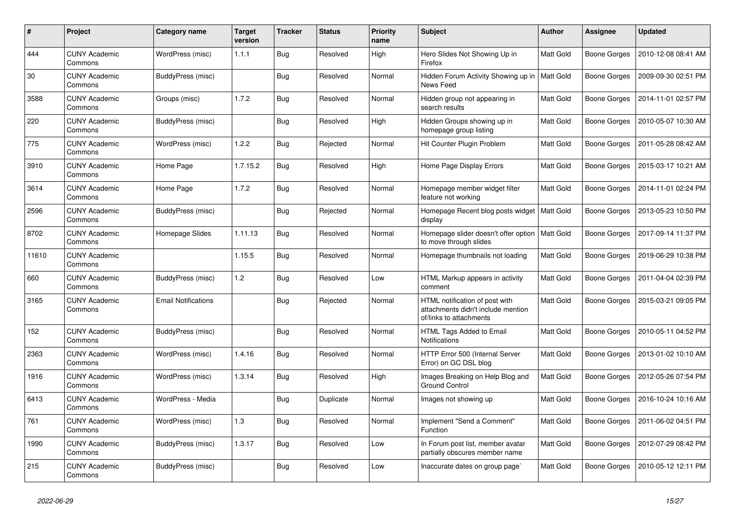| #     | Project                         | Category name              | <b>Target</b><br>version | <b>Tracker</b> | <b>Status</b> | <b>Priority</b><br>name | <b>Subject</b>                                                                                  | <b>Author</b>    | <b>Assignee</b>     | <b>Updated</b>      |
|-------|---------------------------------|----------------------------|--------------------------|----------------|---------------|-------------------------|-------------------------------------------------------------------------------------------------|------------------|---------------------|---------------------|
| 444   | <b>CUNY Academic</b><br>Commons | WordPress (misc)           | 1.1.1                    | <b>Bug</b>     | Resolved      | High                    | Hero Slides Not Showing Up in<br>Firefox                                                        | Matt Gold        | <b>Boone Gorges</b> | 2010-12-08 08:41 AM |
| 30    | <b>CUNY Academic</b><br>Commons | BuddyPress (misc)          |                          | Bug            | Resolved      | Normal                  | Hidden Forum Activity Showing up in<br>News Feed                                                | <b>Matt Gold</b> | <b>Boone Gorges</b> | 2009-09-30 02:51 PM |
| 3588  | <b>CUNY Academic</b><br>Commons | Groups (misc)              | 1.7.2                    | Bug            | Resolved      | Normal                  | Hidden group not appearing in<br>search results                                                 | Matt Gold        | Boone Gorges        | 2014-11-01 02:57 PM |
| 220   | <b>CUNY Academic</b><br>Commons | BuddyPress (misc)          |                          | <b>Bug</b>     | Resolved      | High                    | Hidden Groups showing up in<br>homepage group listing                                           | Matt Gold        | <b>Boone Gorges</b> | 2010-05-07 10:30 AM |
| 775   | <b>CUNY Academic</b><br>Commons | WordPress (misc)           | 1.2.2                    | Bug            | Rejected      | Normal                  | Hit Counter Plugin Problem                                                                      | Matt Gold        | <b>Boone Gorges</b> | 2011-05-28 08:42 AM |
| 3910  | <b>CUNY Academic</b><br>Commons | Home Page                  | 1.7.15.2                 | <b>Bug</b>     | Resolved      | High                    | Home Page Display Errors                                                                        | Matt Gold        | <b>Boone Gorges</b> | 2015-03-17 10:21 AM |
| 3614  | <b>CUNY Academic</b><br>Commons | Home Page                  | 1.7.2                    | <b>Bug</b>     | Resolved      | Normal                  | Homepage member widget filter<br>feature not working                                            | Matt Gold        | Boone Gorges        | 2014-11-01 02:24 PM |
| 2596  | <b>CUNY Academic</b><br>Commons | BuddyPress (misc)          |                          | Bug            | Rejected      | Normal                  | Homepage Recent blog posts widget<br>display                                                    | <b>Matt Gold</b> | Boone Gorges        | 2013-05-23 10:50 PM |
| 8702  | <b>CUNY Academic</b><br>Commons | Homepage Slides            | 1.11.13                  | <b>Bug</b>     | Resolved      | Normal                  | Homepage slider doesn't offer option<br>to move through slides                                  | Matt Gold        | <b>Boone Gorges</b> | 2017-09-14 11:37 PM |
| 11610 | <b>CUNY Academic</b><br>Commons |                            | 1.15.5                   | <b>Bug</b>     | Resolved      | Normal                  | Homepage thumbnails not loading                                                                 | Matt Gold        | Boone Gorges        | 2019-06-29 10:38 PM |
| 660   | <b>CUNY Academic</b><br>Commons | BuddyPress (misc)          | 1.2                      | Bug            | Resolved      | Low                     | HTML Markup appears in activity<br>comment                                                      | Matt Gold        | <b>Boone Gorges</b> | 2011-04-04 02:39 PM |
| 3165  | <b>CUNY Academic</b><br>Commons | <b>Email Notifications</b> |                          | <b>Bug</b>     | Rejected      | Normal                  | HTML notification of post with<br>attachments didn't include mention<br>of/links to attachments | Matt Gold        | <b>Boone Gorges</b> | 2015-03-21 09:05 PM |
| 152   | <b>CUNY Academic</b><br>Commons | BuddyPress (misc)          |                          | Bug            | Resolved      | Normal                  | HTML Tags Added to Email<br><b>Notifications</b>                                                | Matt Gold        | <b>Boone Gorges</b> | 2010-05-11 04:52 PM |
| 2363  | <b>CUNY Academic</b><br>Commons | WordPress (misc)           | 1.4.16                   | <b>Bug</b>     | Resolved      | Normal                  | HTTP Error 500 (Internal Server<br>Error) on GC DSL blog                                        | Matt Gold        | <b>Boone Gorges</b> | 2013-01-02 10:10 AM |
| 1916  | <b>CUNY Academic</b><br>Commons | WordPress (misc)           | 1.3.14                   | <b>Bug</b>     | Resolved      | High                    | Images Breaking on Help Blog and<br><b>Ground Control</b>                                       | Matt Gold        | <b>Boone Gorges</b> | 2012-05-26 07:54 PM |
| 6413  | <b>CUNY Academic</b><br>Commons | WordPress - Media          |                          | <b>Bug</b>     | Duplicate     | Normal                  | Images not showing up                                                                           | Matt Gold        | <b>Boone Gorges</b> | 2016-10-24 10:16 AM |
| 761   | <b>CUNY Academic</b><br>Commons | WordPress (misc)           | 1.3                      | <b>Bug</b>     | Resolved      | Normal                  | Implement "Send a Comment"<br>Function                                                          | Matt Gold        | Boone Gorges        | 2011-06-02 04:51 PM |
| 1990  | <b>CUNY Academic</b><br>Commons | BuddyPress (misc)          | 1.3.17                   | <b>Bug</b>     | Resolved      | Low                     | In Forum post list, member avatar<br>partially obscures member name                             | Matt Gold        | <b>Boone Gorges</b> | 2012-07-29 08:42 PM |
| 215   | <b>CUNY Academic</b><br>Commons | BuddyPress (misc)          |                          | <b>Bug</b>     | Resolved      | Low                     | Inaccurate dates on group page`                                                                 | Matt Gold        | <b>Boone Gorges</b> | 2010-05-12 12:11 PM |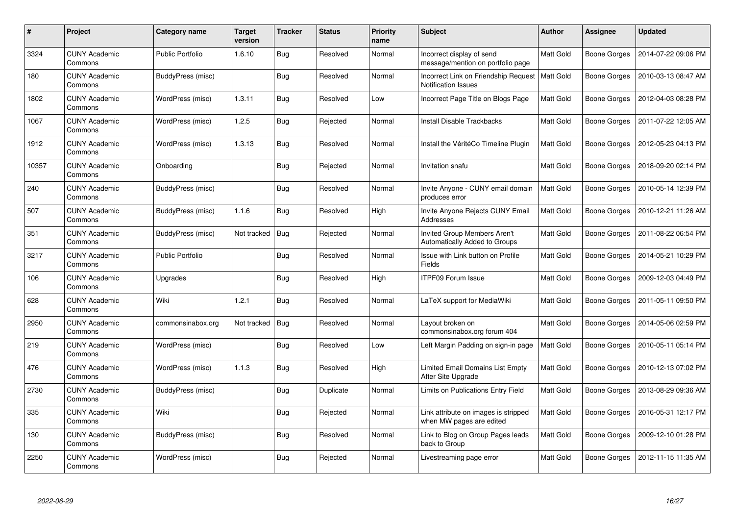| #     | Project                         | Category name           | Target<br>version | <b>Tracker</b> | <b>Status</b> | <b>Priority</b><br>name | <b>Subject</b>                                                       | Author           | Assignee            | <b>Updated</b>      |
|-------|---------------------------------|-------------------------|-------------------|----------------|---------------|-------------------------|----------------------------------------------------------------------|------------------|---------------------|---------------------|
| 3324  | <b>CUNY Academic</b><br>Commons | <b>Public Portfolio</b> | 1.6.10            | <b>Bug</b>     | Resolved      | Normal                  | Incorrect display of send<br>message/mention on portfolio page       | <b>Matt Gold</b> | <b>Boone Gorges</b> | 2014-07-22 09:06 PM |
| 180   | <b>CUNY Academic</b><br>Commons | BuddyPress (misc)       |                   | <b>Bug</b>     | Resolved      | Normal                  | Incorrect Link on Friendship Request<br><b>Notification Issues</b>   | <b>Matt Gold</b> | <b>Boone Gorges</b> | 2010-03-13 08:47 AM |
| 1802  | <b>CUNY Academic</b><br>Commons | WordPress (misc)        | 1.3.11            | <b>Bug</b>     | Resolved      | Low                     | Incorrect Page Title on Blogs Page                                   | Matt Gold        | <b>Boone Gorges</b> | 2012-04-03 08:28 PM |
| 1067  | <b>CUNY Academic</b><br>Commons | WordPress (misc)        | 1.2.5             | <b>Bug</b>     | Rejected      | Normal                  | Install Disable Trackbacks                                           | Matt Gold        | <b>Boone Gorges</b> | 2011-07-22 12:05 AM |
| 1912  | <b>CUNY Academic</b><br>Commons | WordPress (misc)        | 1.3.13            | <b>Bug</b>     | Resolved      | Normal                  | Install the VéritéCo Timeline Plugin                                 | <b>Matt Gold</b> | <b>Boone Gorges</b> | 2012-05-23 04:13 PM |
| 10357 | <b>CUNY Academic</b><br>Commons | Onboarding              |                   | Bug            | Rejected      | Normal                  | Invitation snafu                                                     | Matt Gold        | <b>Boone Gorges</b> | 2018-09-20 02:14 PM |
| 240   | <b>CUNY Academic</b><br>Commons | BuddyPress (misc)       |                   | <b>Bug</b>     | Resolved      | Normal                  | Invite Anyone - CUNY email domain<br>produces error                  | <b>Matt Gold</b> | <b>Boone Gorges</b> | 2010-05-14 12:39 PM |
| 507   | <b>CUNY Academic</b><br>Commons | BuddyPress (misc)       | 1.1.6             | <b>Bug</b>     | Resolved      | High                    | Invite Anyone Rejects CUNY Email<br>Addresses                        | Matt Gold        | <b>Boone Gorges</b> | 2010-12-21 11:26 AM |
| 351   | <b>CUNY Academic</b><br>Commons | BuddyPress (misc)       | Not tracked       | Bug            | Rejected      | Normal                  | <b>Invited Group Members Aren't</b><br>Automatically Added to Groups | Matt Gold        | <b>Boone Gorges</b> | 2011-08-22 06:54 PM |
| 3217  | <b>CUNY Academic</b><br>Commons | Public Portfolio        |                   | <b>Bug</b>     | Resolved      | Normal                  | Issue with Link button on Profile<br>Fields                          | Matt Gold        | Boone Gorges        | 2014-05-21 10:29 PM |
| 106   | <b>CUNY Academic</b><br>Commons | Upgrades                |                   | <b>Bug</b>     | Resolved      | High                    | <b>ITPF09 Forum Issue</b>                                            | Matt Gold        | <b>Boone Gorges</b> | 2009-12-03 04:49 PM |
| 628   | <b>CUNY Academic</b><br>Commons | Wiki                    | 1.2.1             | <b>Bug</b>     | Resolved      | Normal                  | LaTeX support for MediaWiki                                          | Matt Gold        | <b>Boone Gorges</b> | 2011-05-11 09:50 PM |
| 2950  | <b>CUNY Academic</b><br>Commons | commonsinabox.org       | Not tracked       | Bug            | Resolved      | Normal                  | Layout broken on<br>commonsinabox.org forum 404                      | Matt Gold        | Boone Gorges        | 2014-05-06 02:59 PM |
| 219   | <b>CUNY Academic</b><br>Commons | WordPress (misc)        |                   | <b>Bug</b>     | Resolved      | Low                     | Left Margin Padding on sign-in page                                  | Matt Gold        | <b>Boone Gorges</b> | 2010-05-11 05:14 PM |
| 476   | <b>CUNY Academic</b><br>Commons | WordPress (misc)        | 1.1.3             | Bug            | Resolved      | High                    | Limited Email Domains List Empty<br>After Site Upgrade               | Matt Gold        | <b>Boone Gorges</b> | 2010-12-13 07:02 PM |
| 2730  | <b>CUNY Academic</b><br>Commons | BuddyPress (misc)       |                   | <b>Bug</b>     | Duplicate     | Normal                  | Limits on Publications Entry Field                                   | Matt Gold        | <b>Boone Gorges</b> | 2013-08-29 09:36 AM |
| 335   | <b>CUNY Academic</b><br>Commons | Wiki                    |                   | Bug            | Rejected      | Normal                  | Link attribute on images is stripped<br>when MW pages are edited     | Matt Gold        | Boone Gorges        | 2016-05-31 12:17 PM |
| 130   | <b>CUNY Academic</b><br>Commons | BuddyPress (misc)       |                   | <b>Bug</b>     | Resolved      | Normal                  | Link to Blog on Group Pages leads<br>back to Group                   | Matt Gold        | <b>Boone Gorges</b> | 2009-12-10 01:28 PM |
| 2250  | <b>CUNY Academic</b><br>Commons | WordPress (misc)        |                   | <b>Bug</b>     | Rejected      | Normal                  | Livestreaming page error                                             | Matt Gold        | Boone Gorges        | 2012-11-15 11:35 AM |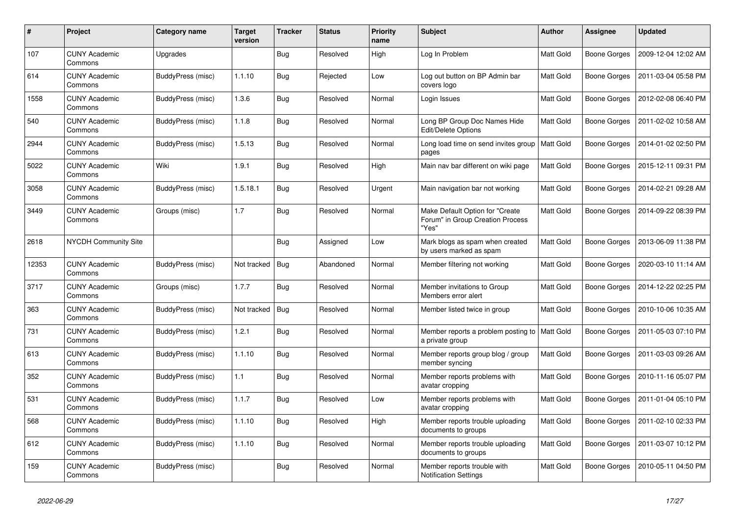| $\#$  | Project                         | Category name            | <b>Target</b><br>version | <b>Tracker</b> | <b>Status</b> | <b>Priority</b><br>name | <b>Subject</b>                                                               | <b>Author</b> | <b>Assignee</b>     | <b>Updated</b>      |
|-------|---------------------------------|--------------------------|--------------------------|----------------|---------------|-------------------------|------------------------------------------------------------------------------|---------------|---------------------|---------------------|
| 107   | <b>CUNY Academic</b><br>Commons | Upgrades                 |                          | <b>Bug</b>     | Resolved      | High                    | Log In Problem                                                               | Matt Gold     | <b>Boone Gorges</b> | 2009-12-04 12:02 AM |
| 614   | <b>CUNY Academic</b><br>Commons | BuddyPress (misc)        | 1.1.10                   | <b>Bug</b>     | Rejected      | Low                     | Log out button on BP Admin bar<br>covers logo                                | Matt Gold     | Boone Gorges        | 2011-03-04 05:58 PM |
| 1558  | <b>CUNY Academic</b><br>Commons | BuddyPress (misc)        | 1.3.6                    | <b>Bug</b>     | Resolved      | Normal                  | Login Issues                                                                 | Matt Gold     | Boone Gorges        | 2012-02-08 06:40 PM |
| 540   | <b>CUNY Academic</b><br>Commons | BuddyPress (misc)        | 1.1.8                    | <b>Bug</b>     | Resolved      | Normal                  | Long BP Group Doc Names Hide<br><b>Edit/Delete Options</b>                   | Matt Gold     | Boone Gorges        | 2011-02-02 10:58 AM |
| 2944  | <b>CUNY Academic</b><br>Commons | <b>BuddyPress (misc)</b> | 1.5.13                   | <b>Bug</b>     | Resolved      | Normal                  | Long load time on send invites group<br>pages                                | Matt Gold     | Boone Gorges        | 2014-01-02 02:50 PM |
| 5022  | <b>CUNY Academic</b><br>Commons | Wiki                     | 1.9.1                    | <b>Bug</b>     | Resolved      | High                    | Main nav bar different on wiki page                                          | Matt Gold     | <b>Boone Gorges</b> | 2015-12-11 09:31 PM |
| 3058  | <b>CUNY Academic</b><br>Commons | BuddyPress (misc)        | 1.5.18.1                 | <b>Bug</b>     | Resolved      | Urgent                  | Main navigation bar not working                                              | Matt Gold     | Boone Gorges        | 2014-02-21 09:28 AM |
| 3449  | <b>CUNY Academic</b><br>Commons | Groups (misc)            | 1.7                      | <b>Bug</b>     | Resolved      | Normal                  | Make Default Option for "Create<br>Forum" in Group Creation Process<br>"Yes" | Matt Gold     | Boone Gorges        | 2014-09-22 08:39 PM |
| 2618  | <b>NYCDH Community Site</b>     |                          |                          | <b>Bug</b>     | Assigned      | Low                     | Mark blogs as spam when created<br>by users marked as spam                   | Matt Gold     | Boone Gorges        | 2013-06-09 11:38 PM |
| 12353 | <b>CUNY Academic</b><br>Commons | BuddyPress (misc)        | Not tracked              | <b>Bug</b>     | Abandoned     | Normal                  | Member filtering not working                                                 | Matt Gold     | Boone Gorges        | 2020-03-10 11:14 AM |
| 3717  | <b>CUNY Academic</b><br>Commons | Groups (misc)            | 1.7.7                    | Bug            | Resolved      | Normal                  | Member invitations to Group<br>Members error alert                           | Matt Gold     | Boone Gorges        | 2014-12-22 02:25 PM |
| 363   | <b>CUNY Academic</b><br>Commons | BuddyPress (misc)        | Not tracked              | <b>Bug</b>     | Resolved      | Normal                  | Member listed twice in group                                                 | Matt Gold     | Boone Gorges        | 2010-10-06 10:35 AM |
| 731   | <b>CUNY Academic</b><br>Commons | BuddyPress (misc)        | 1.2.1                    | Bug            | Resolved      | Normal                  | Member reports a problem posting to<br>a private group                       | Matt Gold     | Boone Gorges        | 2011-05-03 07:10 PM |
| 613   | <b>CUNY Academic</b><br>Commons | BuddyPress (misc)        | 1.1.10                   | <b>Bug</b>     | Resolved      | Normal                  | Member reports group blog / group<br>member syncing                          | Matt Gold     | <b>Boone Gorges</b> | 2011-03-03 09:26 AM |
| 352   | <b>CUNY Academic</b><br>Commons | BuddyPress (misc)        | 1.1                      | <b>Bug</b>     | Resolved      | Normal                  | Member reports problems with<br>avatar cropping                              | Matt Gold     | Boone Gorges        | 2010-11-16 05:07 PM |
| 531   | <b>CUNY Academic</b><br>Commons | <b>BuddyPress (misc)</b> | 1.1.7                    | <b>Bug</b>     | Resolved      | Low                     | Member reports problems with<br>avatar cropping                              | Matt Gold     | Boone Gorges        | 2011-01-04 05:10 PM |
| 568   | <b>CUNY Academic</b><br>Commons | BuddyPress (misc)        | 1.1.10                   | <b>Bug</b>     | Resolved      | High                    | Member reports trouble uploading<br>documents to groups                      | Matt Gold     | Boone Gorges        | 2011-02-10 02:33 PM |
| 612   | <b>CUNY Academic</b><br>Commons | BuddyPress (misc)        | 1.1.10                   | <b>Bug</b>     | Resolved      | Normal                  | Member reports trouble uploading<br>documents to groups                      | Matt Gold     | Boone Gorges        | 2011-03-07 10:12 PM |
| 159   | <b>CUNY Academic</b><br>Commons | BuddyPress (misc)        |                          | <b>Bug</b>     | Resolved      | Normal                  | Member reports trouble with<br><b>Notification Settings</b>                  | Matt Gold     | Boone Gorges        | 2010-05-11 04:50 PM |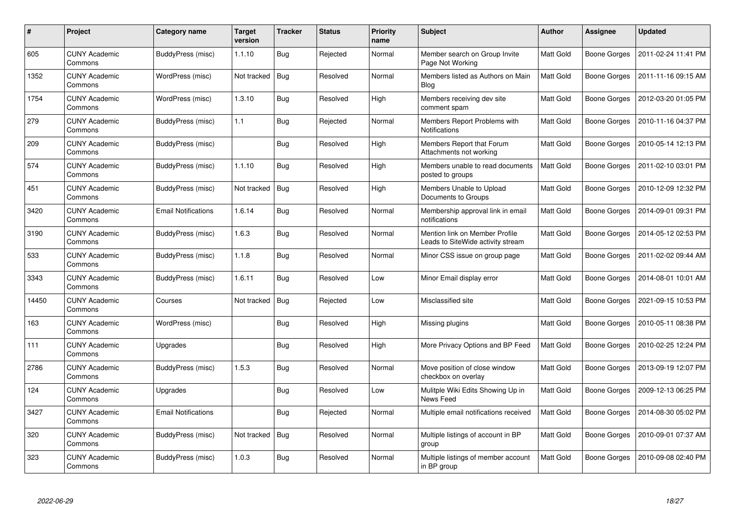| #     | Project                         | Category name              | Target<br>version | <b>Tracker</b> | <b>Status</b> | <b>Priority</b><br>name | <b>Subject</b>                                                      | <b>Author</b>    | Assignee            | <b>Updated</b>      |
|-------|---------------------------------|----------------------------|-------------------|----------------|---------------|-------------------------|---------------------------------------------------------------------|------------------|---------------------|---------------------|
| 605   | <b>CUNY Academic</b><br>Commons | BuddyPress (misc)          | 1.1.10            | <b>Bug</b>     | Rejected      | Normal                  | Member search on Group Invite<br>Page Not Working                   | Matt Gold        | <b>Boone Gorges</b> | 2011-02-24 11:41 PM |
| 1352  | <b>CUNY Academic</b><br>Commons | WordPress (misc)           | Not tracked       | <b>Bug</b>     | Resolved      | Normal                  | Members listed as Authors on Main<br><b>Blog</b>                    | Matt Gold        | Boone Gorges        | 2011-11-16 09:15 AM |
| 1754  | <b>CUNY Academic</b><br>Commons | WordPress (misc)           | 1.3.10            | <b>Bug</b>     | Resolved      | High                    | Members receiving dev site<br>comment spam                          | Matt Gold        | <b>Boone Gorges</b> | 2012-03-20 01:05 PM |
| 279   | <b>CUNY Academic</b><br>Commons | BuddyPress (misc)          | 1.1               | <b>Bug</b>     | Rejected      | Normal                  | Members Report Problems with<br><b>Notifications</b>                | Matt Gold        | Boone Gorges        | 2010-11-16 04:37 PM |
| 209   | <b>CUNY Academic</b><br>Commons | BuddyPress (misc)          |                   | <b>Bug</b>     | Resolved      | High                    | Members Report that Forum<br>Attachments not working                | Matt Gold        | <b>Boone Gorges</b> | 2010-05-14 12:13 PM |
| 574   | <b>CUNY Academic</b><br>Commons | BuddyPress (misc)          | 1.1.10            | <b>Bug</b>     | Resolved      | High                    | Members unable to read documents<br>posted to groups                | Matt Gold        | <b>Boone Gorges</b> | 2011-02-10 03:01 PM |
| 451   | <b>CUNY Academic</b><br>Commons | <b>BuddyPress (misc)</b>   | Not tracked       | <b>Bug</b>     | Resolved      | High                    | Members Unable to Upload<br>Documents to Groups                     | Matt Gold        | <b>Boone Gorges</b> | 2010-12-09 12:32 PM |
| 3420  | <b>CUNY Academic</b><br>Commons | <b>Email Notifications</b> | 1.6.14            | <b>Bug</b>     | Resolved      | Normal                  | Membership approval link in email<br>notifications                  | Matt Gold        | Boone Gorges        | 2014-09-01 09:31 PM |
| 3190  | <b>CUNY Academic</b><br>Commons | BuddyPress (misc)          | 1.6.3             | <b>Bug</b>     | Resolved      | Normal                  | Mention link on Member Profile<br>Leads to SiteWide activity stream | Matt Gold        | <b>Boone Gorges</b> | 2014-05-12 02:53 PM |
| 533   | <b>CUNY Academic</b><br>Commons | BuddyPress (misc)          | 1.1.8             | <b>Bug</b>     | Resolved      | Normal                  | Minor CSS issue on group page                                       | Matt Gold        | Boone Gorges        | 2011-02-02 09:44 AM |
| 3343  | <b>CUNY Academic</b><br>Commons | BuddyPress (misc)          | 1.6.11            | <b>Bug</b>     | Resolved      | Low                     | Minor Email display error                                           | Matt Gold        | Boone Gorges        | 2014-08-01 10:01 AM |
| 14450 | <b>CUNY Academic</b><br>Commons | Courses                    | Not tracked       | Bug            | Rejected      | Low                     | Misclassified site                                                  | <b>Matt Gold</b> | <b>Boone Gorges</b> | 2021-09-15 10:53 PM |
| 163   | <b>CUNY Academic</b><br>Commons | WordPress (misc)           |                   | Bug            | Resolved      | High                    | Missing plugins                                                     | <b>Matt Gold</b> | Boone Gorges        | 2010-05-11 08:38 PM |
| 111   | <b>CUNY Academic</b><br>Commons | Upgrades                   |                   | <b>Bug</b>     | Resolved      | High                    | More Privacy Options and BP Feed                                    | Matt Gold        | Boone Gorges        | 2010-02-25 12:24 PM |
| 2786  | <b>CUNY Academic</b><br>Commons | BuddyPress (misc)          | 1.5.3             | <b>Bug</b>     | Resolved      | Normal                  | Move position of close window<br>checkbox on overlay                | Matt Gold        | Boone Gorges        | 2013-09-19 12:07 PM |
| 124   | <b>CUNY Academic</b><br>Commons | Upgrades                   |                   | <b>Bug</b>     | Resolved      | Low                     | Mulitple Wiki Edits Showing Up in<br>News Feed                      | Matt Gold        | <b>Boone Gorges</b> | 2009-12-13 06:25 PM |
| 3427  | <b>CUNY Academic</b><br>Commons | <b>Email Notifications</b> |                   | Bug            | Rejected      | Normal                  | Multiple email notifications received                               | Matt Gold        | Boone Gorges        | 2014-08-30 05:02 PM |
| 320   | <b>CUNY Academic</b><br>Commons | BuddyPress (misc)          | Not tracked       | <b>Bug</b>     | Resolved      | Normal                  | Multiple listings of account in BP<br>group                         | Matt Gold        | <b>Boone Gorges</b> | 2010-09-01 07:37 AM |
| 323   | <b>CUNY Academic</b><br>Commons | BuddyPress (misc)          | 1.0.3             | <b>Bug</b>     | Resolved      | Normal                  | Multiple listings of member account<br>in BP group                  | Matt Gold        | Boone Gorges        | 2010-09-08 02:40 PM |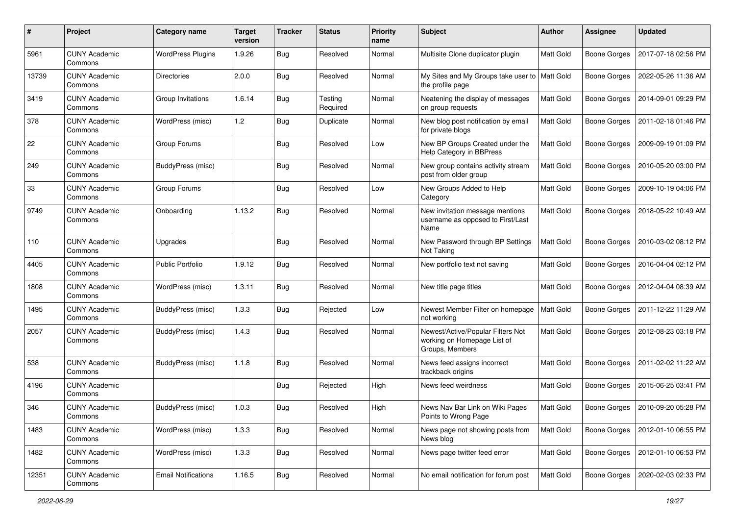| #     | Project                         | Category name              | <b>Target</b><br>version | <b>Tracker</b> | <b>Status</b>       | <b>Priority</b><br>name | Subject                                                                             | Author           | <b>Assignee</b>     | <b>Updated</b>      |
|-------|---------------------------------|----------------------------|--------------------------|----------------|---------------------|-------------------------|-------------------------------------------------------------------------------------|------------------|---------------------|---------------------|
| 5961  | <b>CUNY Academic</b><br>Commons | <b>WordPress Plugins</b>   | 1.9.26                   | <b>Bug</b>     | Resolved            | Normal                  | Multisite Clone duplicator plugin                                                   | Matt Gold        | <b>Boone Gorges</b> | 2017-07-18 02:56 PM |
| 13739 | <b>CUNY Academic</b><br>Commons | <b>Directories</b>         | 2.0.0                    | <b>Bug</b>     | Resolved            | Normal                  | My Sites and My Groups take user to   Matt Gold<br>the profile page                 |                  | <b>Boone Gorges</b> | 2022-05-26 11:36 AM |
| 3419  | <b>CUNY Academic</b><br>Commons | Group Invitations          | 1.6.14                   | <b>Bug</b>     | Testing<br>Required | Normal                  | Neatening the display of messages<br>on group requests                              | <b>Matt Gold</b> | <b>Boone Gorges</b> | 2014-09-01 09:29 PM |
| 378   | <b>CUNY Academic</b><br>Commons | WordPress (misc)           | 1.2                      | Bug            | Duplicate           | Normal                  | New blog post notification by email<br>for private blogs                            | Matt Gold        | <b>Boone Gorges</b> | 2011-02-18 01:46 PM |
| 22    | <b>CUNY Academic</b><br>Commons | Group Forums               |                          | Bug            | Resolved            | Low                     | New BP Groups Created under the<br>Help Category in BBPress                         | <b>Matt Gold</b> | Boone Gorges        | 2009-09-19 01:09 PM |
| 249   | <b>CUNY Academic</b><br>Commons | BuddyPress (misc)          |                          | <b>Bug</b>     | Resolved            | Normal                  | New group contains activity stream<br>post from older group                         | Matt Gold        | <b>Boone Gorges</b> | 2010-05-20 03:00 PM |
| 33    | <b>CUNY Academic</b><br>Commons | Group Forums               |                          | Bug            | Resolved            | Low                     | New Groups Added to Help<br>Category                                                | Matt Gold        | <b>Boone Gorges</b> | 2009-10-19 04:06 PM |
| 9749  | <b>CUNY Academic</b><br>Commons | Onboarding                 | 1.13.2                   | Bug            | Resolved            | Normal                  | New invitation message mentions<br>username as opposed to First/Last<br>Name        | Matt Gold        | <b>Boone Gorges</b> | 2018-05-22 10:49 AM |
| 110   | <b>CUNY Academic</b><br>Commons | Upgrades                   |                          | Bug            | Resolved            | Normal                  | New Password through BP Settings<br>Not Taking                                      | Matt Gold        | <b>Boone Gorges</b> | 2010-03-02 08:12 PM |
| 4405  | <b>CUNY Academic</b><br>Commons | <b>Public Portfolio</b>    | 1.9.12                   | Bug            | Resolved            | Normal                  | New portfolio text not saving                                                       | Matt Gold        | <b>Boone Gorges</b> | 2016-04-04 02:12 PM |
| 1808  | <b>CUNY Academic</b><br>Commons | WordPress (misc)           | 1.3.11                   | <b>Bug</b>     | Resolved            | Normal                  | New title page titles                                                               | Matt Gold        | <b>Boone Gorges</b> | 2012-04-04 08:39 AM |
| 1495  | <b>CUNY Academic</b><br>Commons | BuddyPress (misc)          | 1.3.3                    | Bug            | Rejected            | Low                     | Newest Member Filter on homepage<br>not working                                     | Matt Gold        | <b>Boone Gorges</b> | 2011-12-22 11:29 AM |
| 2057  | <b>CUNY Academic</b><br>Commons | BuddyPress (misc)          | 1.4.3                    | Bug            | Resolved            | Normal                  | Newest/Active/Popular Filters Not<br>working on Homepage List of<br>Groups, Members | <b>Matt Gold</b> | <b>Boone Gorges</b> | 2012-08-23 03:18 PM |
| 538   | <b>CUNY Academic</b><br>Commons | BuddyPress (misc)          | 1.1.8                    | Bug            | Resolved            | Normal                  | News feed assigns incorrect<br>trackback origins                                    | Matt Gold        | <b>Boone Gorges</b> | 2011-02-02 11:22 AM |
| 4196  | <b>CUNY Academic</b><br>Commons |                            |                          | Bug            | Rejected            | High                    | News feed weirdness                                                                 | <b>Matt Gold</b> | <b>Boone Gorges</b> | 2015-06-25 03:41 PM |
| 346   | <b>CUNY Academic</b><br>Commons | <b>BuddyPress</b> (misc)   | 1.0.3                    | <b>Bug</b>     | Resolved            | High                    | News Nav Bar Link on Wiki Pages<br>Points to Wrong Page                             | Matt Gold        | <b>Boone Gorges</b> | 2010-09-20 05:28 PM |
| 1483  | <b>CUNY Academic</b><br>Commons | WordPress (misc)           | 1.3.3                    | <b>Bug</b>     | Resolved            | Normal                  | News page not showing posts from<br>News blog                                       | Matt Gold        | <b>Boone Gorges</b> | 2012-01-10 06:55 PM |
| 1482  | <b>CUNY Academic</b><br>Commons | WordPress (misc)           | 1.3.3                    | <b>Bug</b>     | Resolved            | Normal                  | News page twitter feed error                                                        | Matt Gold        | <b>Boone Gorges</b> | 2012-01-10 06:53 PM |
| 12351 | <b>CUNY Academic</b><br>Commons | <b>Email Notifications</b> | 1.16.5                   | <b>Bug</b>     | Resolved            | Normal                  | No email notification for forum post                                                | Matt Gold        | <b>Boone Gorges</b> | 2020-02-03 02:33 PM |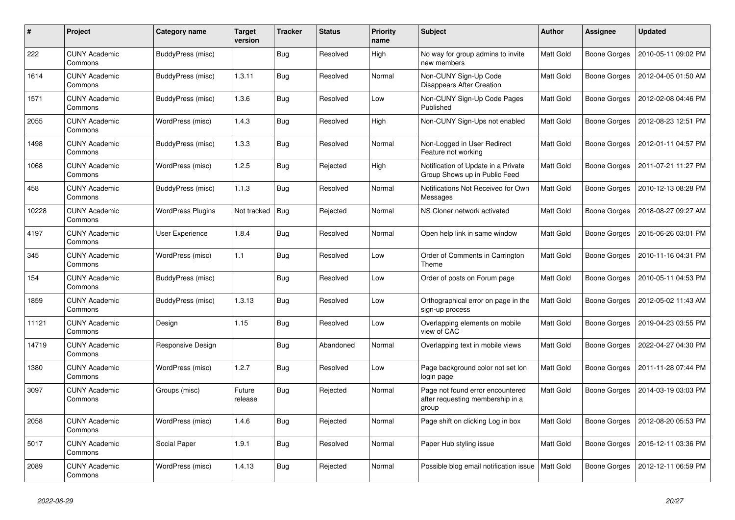| #     | Project                         | Category name            | <b>Target</b><br>version | <b>Tracker</b> | <b>Status</b> | <b>Priority</b><br>name | <b>Subject</b>                                                                | <b>Author</b>    | Assignee            | <b>Updated</b>      |
|-------|---------------------------------|--------------------------|--------------------------|----------------|---------------|-------------------------|-------------------------------------------------------------------------------|------------------|---------------------|---------------------|
| 222   | <b>CUNY Academic</b><br>Commons | BuddyPress (misc)        |                          | <b>Bug</b>     | Resolved      | High                    | No way for group admins to invite<br>new members                              | <b>Matt Gold</b> | Boone Gorges        | 2010-05-11 09:02 PM |
| 1614  | <b>CUNY Academic</b><br>Commons | BuddyPress (misc)        | 1.3.11                   | Bug            | Resolved      | Normal                  | Non-CUNY Sign-Up Code<br><b>Disappears After Creation</b>                     | Matt Gold        | Boone Gorges        | 2012-04-05 01:50 AM |
| 1571  | <b>CUNY Academic</b><br>Commons | BuddyPress (misc)        | 1.3.6                    | Bug            | Resolved      | Low                     | Non-CUNY Sign-Up Code Pages<br>Published                                      | Matt Gold        | Boone Gorges        | 2012-02-08 04:46 PM |
| 2055  | <b>CUNY Academic</b><br>Commons | WordPress (misc)         | 1.4.3                    | <b>Bug</b>     | Resolved      | High                    | Non-CUNY Sign-Ups not enabled                                                 | Matt Gold        | <b>Boone Gorges</b> | 2012-08-23 12:51 PM |
| 1498  | <b>CUNY Academic</b><br>Commons | BuddyPress (misc)        | 1.3.3                    | Bug            | Resolved      | Normal                  | Non-Logged in User Redirect<br>Feature not working                            | Matt Gold        | Boone Gorges        | 2012-01-11 04:57 PM |
| 1068  | <b>CUNY Academic</b><br>Commons | WordPress (misc)         | 1.2.5                    | <b>Bug</b>     | Rejected      | High                    | Notification of Update in a Private<br>Group Shows up in Public Feed          | Matt Gold        | Boone Gorges        | 2011-07-21 11:27 PM |
| 458   | <b>CUNY Academic</b><br>Commons | BuddyPress (misc)        | 1.1.3                    | <b>Bug</b>     | Resolved      | Normal                  | Notifications Not Received for Own<br>Messages                                | Matt Gold        | <b>Boone Gorges</b> | 2010-12-13 08:28 PM |
| 10228 | <b>CUNY Academic</b><br>Commons | <b>WordPress Plugins</b> | Not tracked              | <b>Bug</b>     | Rejected      | Normal                  | NS Cloner network activated                                                   | Matt Gold        | Boone Gorges        | 2018-08-27 09:27 AM |
| 4197  | <b>CUNY Academic</b><br>Commons | User Experience          | 1.8.4                    | Bug            | Resolved      | Normal                  | Open help link in same window                                                 | Matt Gold        | Boone Gorges        | 2015-06-26 03:01 PM |
| 345   | <b>CUNY Academic</b><br>Commons | WordPress (misc)         | 1.1                      | Bug            | Resolved      | Low                     | Order of Comments in Carrington<br>Theme                                      | Matt Gold        | <b>Boone Gorges</b> | 2010-11-16 04:31 PM |
| 154   | <b>CUNY Academic</b><br>Commons | BuddyPress (misc)        |                          | Bug            | Resolved      | Low                     | Order of posts on Forum page                                                  | Matt Gold        | <b>Boone Gorges</b> | 2010-05-11 04:53 PM |
| 1859  | <b>CUNY Academic</b><br>Commons | BuddyPress (misc)        | 1.3.13                   | Bug            | Resolved      | Low                     | Orthographical error on page in the<br>sign-up process                        | Matt Gold        | <b>Boone Gorges</b> | 2012-05-02 11:43 AM |
| 11121 | <b>CUNY Academic</b><br>Commons | Design                   | 1.15                     | Bug            | Resolved      | Low                     | Overlapping elements on mobile<br>view of CAC                                 | Matt Gold        | Boone Gorges        | 2019-04-23 03:55 PM |
| 14719 | <b>CUNY Academic</b><br>Commons | Responsive Design        |                          | <b>Bug</b>     | Abandoned     | Normal                  | Overlapping text in mobile views                                              | Matt Gold        | <b>Boone Gorges</b> | 2022-04-27 04:30 PM |
| 1380  | <b>CUNY Academic</b><br>Commons | WordPress (misc)         | 1.2.7                    | <b>Bug</b>     | Resolved      | Low                     | Page background color not set lon<br>login page                               | <b>Matt Gold</b> | <b>Boone Gorges</b> | 2011-11-28 07:44 PM |
| 3097  | <b>CUNY Academic</b><br>Commons | Groups (misc)            | Future<br>release        | Bug            | Rejected      | Normal                  | Page not found error encountered<br>after requesting membership in a<br>group | Matt Gold        | <b>Boone Gorges</b> | 2014-03-19 03:03 PM |
| 2058  | <b>CUNY Academic</b><br>Commons | WordPress (misc)         | 1.4.6                    | <b>Bug</b>     | Rejected      | Normal                  | Page shift on clicking Log in box                                             | Matt Gold        | Boone Gorges        | 2012-08-20 05:53 PM |
| 5017  | <b>CUNY Academic</b><br>Commons | Social Paper             | 1.9.1                    | <b>Bug</b>     | Resolved      | Normal                  | Paper Hub styling issue                                                       | <b>Matt Gold</b> | Boone Gorges        | 2015-12-11 03:36 PM |
| 2089  | <b>CUNY Academic</b><br>Commons | WordPress (misc)         | 1.4.13                   | <b>Bug</b>     | Rejected      | Normal                  | Possible blog email notification issue                                        | <b>Matt Gold</b> | <b>Boone Gorges</b> | 2012-12-11 06:59 PM |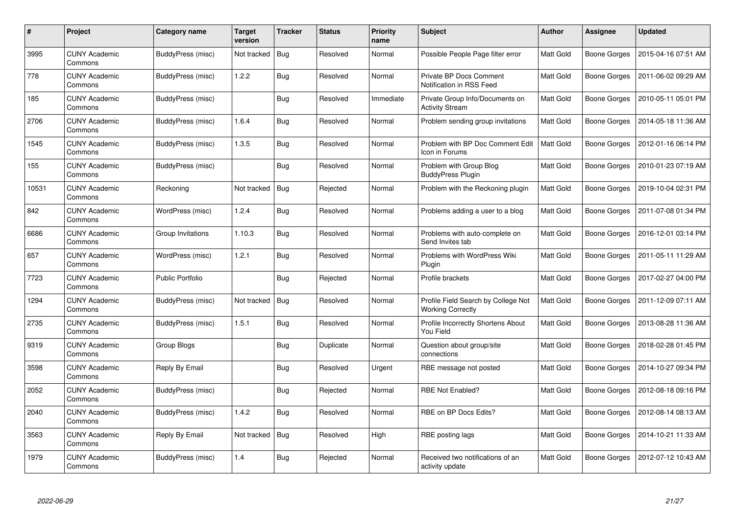| #     | Project                         | Category name     | <b>Target</b><br>version | <b>Tracker</b> | <b>Status</b> | <b>Priority</b><br>name | <b>Subject</b>                                                  | <b>Author</b>    | Assignee            | <b>Updated</b>      |
|-------|---------------------------------|-------------------|--------------------------|----------------|---------------|-------------------------|-----------------------------------------------------------------|------------------|---------------------|---------------------|
| 3995  | <b>CUNY Academic</b><br>Commons | BuddyPress (misc) | Not tracked              | Bug            | Resolved      | Normal                  | Possible People Page filter error                               | Matt Gold        | <b>Boone Gorges</b> | 2015-04-16 07:51 AM |
| 778   | <b>CUNY Academic</b><br>Commons | BuddyPress (misc) | 1.2.2                    | <b>Bug</b>     | Resolved      | Normal                  | Private BP Docs Comment<br>Notification in RSS Feed             | <b>Matt Gold</b> | Boone Gorges        | 2011-06-02 09:29 AM |
| 185   | <b>CUNY Academic</b><br>Commons | BuddyPress (misc) |                          | <b>Bug</b>     | Resolved      | Immediate               | Private Group Info/Documents on<br><b>Activity Stream</b>       | Matt Gold        | <b>Boone Gorges</b> | 2010-05-11 05:01 PM |
| 2706  | <b>CUNY Academic</b><br>Commons | BuddyPress (misc) | 1.6.4                    | Bug            | Resolved      | Normal                  | Problem sending group invitations                               | Matt Gold        | Boone Gorges        | 2014-05-18 11:36 AM |
| 1545  | <b>CUNY Academic</b><br>Commons | BuddyPress (misc) | 1.3.5                    | Bug            | Resolved      | Normal                  | Problem with BP Doc Comment Edit<br>Icon in Forums              | <b>Matt Gold</b> | <b>Boone Gorges</b> | 2012-01-16 06:14 PM |
| 155   | <b>CUNY Academic</b><br>Commons | BuddyPress (misc) |                          | Bug            | Resolved      | Normal                  | Problem with Group Blog<br><b>BuddyPress Plugin</b>             | Matt Gold        | <b>Boone Gorges</b> | 2010-01-23 07:19 AM |
| 10531 | <b>CUNY Academic</b><br>Commons | Reckoning         | Not tracked              | <b>Bug</b>     | Rejected      | Normal                  | Problem with the Reckoning plugin                               | Matt Gold        | <b>Boone Gorges</b> | 2019-10-04 02:31 PM |
| 842   | <b>CUNY Academic</b><br>Commons | WordPress (misc)  | 1.2.4                    | Bug            | Resolved      | Normal                  | Problems adding a user to a blog                                | Matt Gold        | Boone Gorges        | 2011-07-08 01:34 PM |
| 6686  | <b>CUNY Academic</b><br>Commons | Group Invitations | 1.10.3                   | <b>Bug</b>     | Resolved      | Normal                  | Problems with auto-complete on<br>Send Invites tab              | <b>Matt Gold</b> | <b>Boone Gorges</b> | 2016-12-01 03:14 PM |
| 657   | <b>CUNY Academic</b><br>Commons | WordPress (misc)  | 1.2.1                    | <b>Bug</b>     | Resolved      | Normal                  | Problems with WordPress Wiki<br>Plugin                          | Matt Gold        | Boone Gorges        | 2011-05-11 11:29 AM |
| 7723  | <b>CUNY Academic</b><br>Commons | Public Portfolio  |                          | <b>Bug</b>     | Rejected      | Normal                  | Profile brackets                                                | Matt Gold        | Boone Gorges        | 2017-02-27 04:00 PM |
| 1294  | <b>CUNY Academic</b><br>Commons | BuddyPress (misc) | Not tracked              | <b>Bug</b>     | Resolved      | Normal                  | Profile Field Search by College Not<br><b>Working Correctly</b> | Matt Gold        | <b>Boone Gorges</b> | 2011-12-09 07:11 AM |
| 2735  | <b>CUNY Academic</b><br>Commons | BuddyPress (misc) | 1.5.1                    | <b>Bug</b>     | Resolved      | Normal                  | Profile Incorrectly Shortens About<br>You Field                 | Matt Gold        | <b>Boone Gorges</b> | 2013-08-28 11:36 AM |
| 9319  | <b>CUNY Academic</b><br>Commons | Group Blogs       |                          | <b>Bug</b>     | Duplicate     | Normal                  | Question about group/site<br>connections                        | Matt Gold        | <b>Boone Gorges</b> | 2018-02-28 01:45 PM |
| 3598  | <b>CUNY Academic</b><br>Commons | Reply By Email    |                          | <b>Bug</b>     | Resolved      | Urgent                  | RBE message not posted                                          | Matt Gold        | Boone Gorges        | 2014-10-27 09:34 PM |
| 2052  | <b>CUNY Academic</b><br>Commons | BuddyPress (misc) |                          | Bug            | Rejected      | Normal                  | <b>RBE Not Enabled?</b>                                         | Matt Gold        | Boone Gorges        | 2012-08-18 09:16 PM |
| 2040  | <b>CUNY Academic</b><br>Commons | BuddyPress (misc) | 1.4.2                    | Bug            | Resolved      | Normal                  | RBE on BP Docs Edits?                                           | Matt Gold        | <b>Boone Gorges</b> | 2012-08-14 08:13 AM |
| 3563  | <b>CUNY Academic</b><br>Commons | Reply By Email    | Not tracked              | <b>Bug</b>     | Resolved      | High                    | RBE posting lags                                                | Matt Gold        | <b>Boone Gorges</b> | 2014-10-21 11:33 AM |
| 1979  | <b>CUNY Academic</b><br>Commons | BuddyPress (misc) | 1.4                      | Bug            | Rejected      | Normal                  | Received two notifications of an<br>activity update             | Matt Gold        | Boone Gorges        | 2012-07-12 10:43 AM |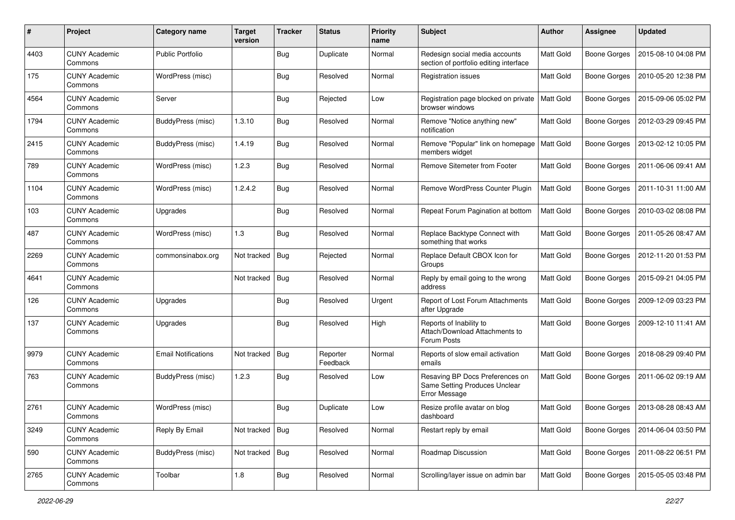| $\#$ | Project                         | Category name              | <b>Target</b><br>version | <b>Tracker</b> | <b>Status</b>        | <b>Priority</b><br>name | Subject                                                                           | Author           | <b>Assignee</b>     | <b>Updated</b>      |
|------|---------------------------------|----------------------------|--------------------------|----------------|----------------------|-------------------------|-----------------------------------------------------------------------------------|------------------|---------------------|---------------------|
| 4403 | <b>CUNY Academic</b><br>Commons | Public Portfolio           |                          | <b>Bug</b>     | Duplicate            | Normal                  | Redesign social media accounts<br>section of portfolio editing interface          | Matt Gold        | <b>Boone Gorges</b> | 2015-08-10 04:08 PM |
| 175  | <b>CUNY Academic</b><br>Commons | WordPress (misc)           |                          | Bug            | Resolved             | Normal                  | Registration issues                                                               | Matt Gold        | <b>Boone Gorges</b> | 2010-05-20 12:38 PM |
| 4564 | <b>CUNY Academic</b><br>Commons | Server                     |                          | Bug            | Rejected             | Low                     | Registration page blocked on private<br>browser windows                           | <b>Matt Gold</b> | <b>Boone Gorges</b> | 2015-09-06 05:02 PM |
| 1794 | <b>CUNY Academic</b><br>Commons | BuddyPress (misc)          | 1.3.10                   | <b>Bug</b>     | Resolved             | Normal                  | Remove "Notice anything new"<br>notification                                      | Matt Gold        | <b>Boone Gorges</b> | 2012-03-29 09:45 PM |
| 2415 | <b>CUNY Academic</b><br>Commons | BuddyPress (misc)          | 1.4.19                   | <b>Bug</b>     | Resolved             | Normal                  | Remove "Popular" link on homepage<br>members widget                               | <b>Matt Gold</b> | <b>Boone Gorges</b> | 2013-02-12 10:05 PM |
| 789  | <b>CUNY Academic</b><br>Commons | WordPress (misc)           | 1.2.3                    | Bug            | Resolved             | Normal                  | Remove Sitemeter from Footer                                                      | Matt Gold        | <b>Boone Gorges</b> | 2011-06-06 09:41 AM |
| 1104 | <b>CUNY Academic</b><br>Commons | WordPress (misc)           | 1.2.4.2                  | Bug            | Resolved             | Normal                  | Remove WordPress Counter Plugin                                                   | Matt Gold        | <b>Boone Gorges</b> | 2011-10-31 11:00 AM |
| 103  | <b>CUNY Academic</b><br>Commons | Upgrades                   |                          | Bug            | Resolved             | Normal                  | Repeat Forum Pagination at bottom                                                 | <b>Matt Gold</b> | <b>Boone Gorges</b> | 2010-03-02 08:08 PM |
| 487  | <b>CUNY Academic</b><br>Commons | WordPress (misc)           | 1.3                      | <b>Bug</b>     | Resolved             | Normal                  | Replace Backtype Connect with<br>something that works                             | Matt Gold        | <b>Boone Gorges</b> | 2011-05-26 08:47 AM |
| 2269 | <b>CUNY Academic</b><br>Commons | commonsinabox.org          | Not tracked              | <b>Bug</b>     | Rejected             | Normal                  | Replace Default CBOX Icon for<br>Groups                                           | Matt Gold        | <b>Boone Gorges</b> | 2012-11-20 01:53 PM |
| 4641 | <b>CUNY Academic</b><br>Commons |                            | Not tracked              | Bug            | Resolved             | Normal                  | Reply by email going to the wrong<br>address                                      | <b>Matt Gold</b> | <b>Boone Gorges</b> | 2015-09-21 04:05 PM |
| 126  | <b>CUNY Academic</b><br>Commons | Upgrades                   |                          | Bug            | Resolved             | Urgent                  | Report of Lost Forum Attachments<br>after Upgrade                                 | Matt Gold        | <b>Boone Gorges</b> | 2009-12-09 03:23 PM |
| 137  | <b>CUNY Academic</b><br>Commons | Upgrades                   |                          | Bug            | Resolved             | High                    | Reports of Inability to<br>Attach/Download Attachments to<br>Forum Posts          | Matt Gold        | <b>Boone Gorges</b> | 2009-12-10 11:41 AM |
| 9979 | <b>CUNY Academic</b><br>Commons | <b>Email Notifications</b> | Not tracked              | <b>Bug</b>     | Reporter<br>Feedback | Normal                  | Reports of slow email activation<br>emails                                        | Matt Gold        | <b>Boone Gorges</b> | 2018-08-29 09:40 PM |
| 763  | <b>CUNY Academic</b><br>Commons | <b>BuddyPress (misc)</b>   | 1.2.3                    | Bug            | Resolved             | Low                     | Resaving BP Docs Preferences on<br>Same Setting Produces Unclear<br>Error Message | Matt Gold        | Boone Gorges        | 2011-06-02 09:19 AM |
| 2761 | <b>CUNY Academic</b><br>Commons | WordPress (misc)           |                          | <b>Bug</b>     | Duplicate            | Low                     | Resize profile avatar on blog<br>dashboard                                        | Matt Gold        | <b>Boone Gorges</b> | 2013-08-28 08:43 AM |
| 3249 | <b>CUNY Academic</b><br>Commons | Reply By Email             | Not tracked              | Bug            | Resolved             | Normal                  | Restart reply by email                                                            | Matt Gold        | <b>Boone Gorges</b> | 2014-06-04 03:50 PM |
| 590  | <b>CUNY Academic</b><br>Commons | BuddyPress (misc)          | Not tracked Bug          |                | Resolved             | Normal                  | Roadmap Discussion                                                                | Matt Gold        | <b>Boone Gorges</b> | 2011-08-22 06:51 PM |
| 2765 | <b>CUNY Academic</b><br>Commons | Toolbar                    | 1.8                      | <b>Bug</b>     | Resolved             | Normal                  | Scrolling/layer issue on admin bar                                                | Matt Gold        | <b>Boone Gorges</b> | 2015-05-05 03:48 PM |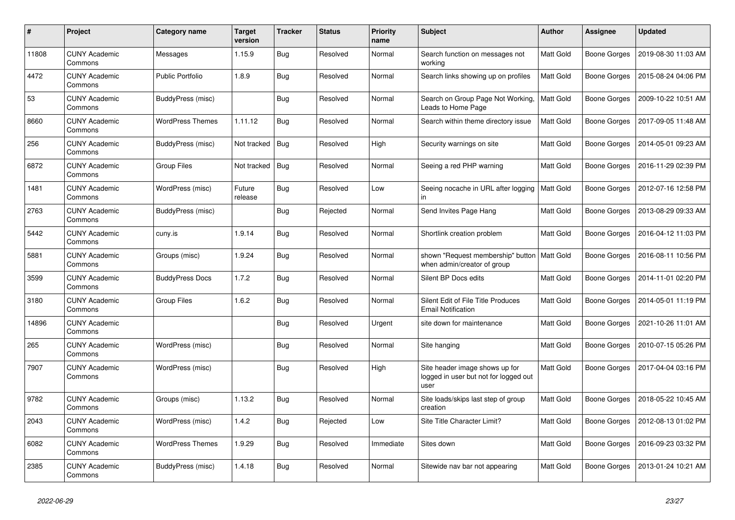| #     | Project                         | Category name           | Target<br>version | <b>Tracker</b> | <b>Status</b> | <b>Priority</b><br>name | <b>Subject</b>                                                                  | Author           | <b>Assignee</b>     | <b>Updated</b>      |
|-------|---------------------------------|-------------------------|-------------------|----------------|---------------|-------------------------|---------------------------------------------------------------------------------|------------------|---------------------|---------------------|
| 11808 | <b>CUNY Academic</b><br>Commons | Messages                | 1.15.9            | <b>Bug</b>     | Resolved      | Normal                  | Search function on messages not<br>working                                      | <b>Matt Gold</b> | <b>Boone Gorges</b> | 2019-08-30 11:03 AM |
| 4472  | <b>CUNY Academic</b><br>Commons | <b>Public Portfolio</b> | 1.8.9             | Bug            | Resolved      | Normal                  | Search links showing up on profiles                                             | <b>Matt Gold</b> | <b>Boone Gorges</b> | 2015-08-24 04:06 PM |
| 53    | <b>CUNY Academic</b><br>Commons | BuddyPress (misc)       |                   | <b>Bug</b>     | Resolved      | Normal                  | Search on Group Page Not Working,<br>Leads to Home Page                         | Matt Gold        | <b>Boone Gorges</b> | 2009-10-22 10:51 AM |
| 8660  | <b>CUNY Academic</b><br>Commons | <b>WordPress Themes</b> | 1.11.12           | <b>Bug</b>     | Resolved      | Normal                  | Search within theme directory issue                                             | Matt Gold        | <b>Boone Gorges</b> | 2017-09-05 11:48 AM |
| 256   | <b>CUNY Academic</b><br>Commons | BuddyPress (misc)       | Not tracked       | Bug            | Resolved      | High                    | Security warnings on site                                                       | <b>Matt Gold</b> | Boone Gorges        | 2014-05-01 09:23 AM |
| 6872  | <b>CUNY Academic</b><br>Commons | <b>Group Files</b>      | Not tracked       | Bug            | Resolved      | Normal                  | Seeing a red PHP warning                                                        | Matt Gold        | <b>Boone Gorges</b> | 2016-11-29 02:39 PM |
| 1481  | <b>CUNY Academic</b><br>Commons | WordPress (misc)        | Future<br>release | <b>Bug</b>     | Resolved      | Low                     | Seeing nocache in URL after logging<br>in                                       | Matt Gold        | <b>Boone Gorges</b> | 2012-07-16 12:58 PM |
| 2763  | <b>CUNY Academic</b><br>Commons | BuddyPress (misc)       |                   | Bug            | Rejected      | Normal                  | Send Invites Page Hang                                                          | <b>Matt Gold</b> | <b>Boone Gorges</b> | 2013-08-29 09:33 AM |
| 5442  | <b>CUNY Academic</b><br>Commons | cuny.is                 | 1.9.14            | <b>Bug</b>     | Resolved      | Normal                  | Shortlink creation problem                                                      | Matt Gold        | <b>Boone Gorges</b> | 2016-04-12 11:03 PM |
| 5881  | <b>CUNY Academic</b><br>Commons | Groups (misc)           | 1.9.24            | <b>Bug</b>     | Resolved      | Normal                  | shown "Request membership" button<br>when admin/creator of group                | <b>Matt Gold</b> | <b>Boone Gorges</b> | 2016-08-11 10:56 PM |
| 3599  | <b>CUNY Academic</b><br>Commons | <b>BuddyPress Docs</b>  | 1.7.2             | Bug            | Resolved      | Normal                  | Silent BP Docs edits                                                            | Matt Gold        | Boone Gorges        | 2014-11-01 02:20 PM |
| 3180  | <b>CUNY Academic</b><br>Commons | <b>Group Files</b>      | 1.6.2             | Bug            | Resolved      | Normal                  | Silent Edit of File Title Produces<br><b>Email Notification</b>                 | Matt Gold        | <b>Boone Gorges</b> | 2014-05-01 11:19 PM |
| 14896 | <b>CUNY Academic</b><br>Commons |                         |                   | <b>Bug</b>     | Resolved      | Urgent                  | site down for maintenance                                                       | Matt Gold        | <b>Boone Gorges</b> | 2021-10-26 11:01 AM |
| 265   | <b>CUNY Academic</b><br>Commons | WordPress (misc)        |                   | Bug            | Resolved      | Normal                  | Site hanging                                                                    | Matt Gold        | Boone Gorges        | 2010-07-15 05:26 PM |
| 7907  | <b>CUNY Academic</b><br>Commons | WordPress (misc)        |                   | <b>Bug</b>     | Resolved      | High                    | Site header image shows up for<br>logged in user but not for logged out<br>user | Matt Gold        | <b>Boone Gorges</b> | 2017-04-04 03:16 PM |
| 9782  | <b>CUNY Academic</b><br>Commons | Groups (misc)           | 1.13.2            | <b>Bug</b>     | Resolved      | Normal                  | Site loads/skips last step of group<br>creation                                 | Matt Gold        | <b>Boone Gorges</b> | 2018-05-22 10:45 AM |
| 2043  | <b>CUNY Academic</b><br>Commons | WordPress (misc)        | 1.4.2             | Bug            | Rejected      | Low                     | Site Title Character Limit?                                                     | Matt Gold        | <b>Boone Gorges</b> | 2012-08-13 01:02 PM |
| 6082  | <b>CUNY Academic</b><br>Commons | <b>WordPress Themes</b> | 1.9.29            | <b>Bug</b>     | Resolved      | Immediate               | Sites down                                                                      | <b>Matt Gold</b> | <b>Boone Gorges</b> | 2016-09-23 03:32 PM |
| 2385  | <b>CUNY Academic</b><br>Commons | BuddyPress (misc)       | 1.4.18            | <b>Bug</b>     | Resolved      | Normal                  | Sitewide nav bar not appearing                                                  | <b>Matt Gold</b> | <b>Boone Gorges</b> | 2013-01-24 10:21 AM |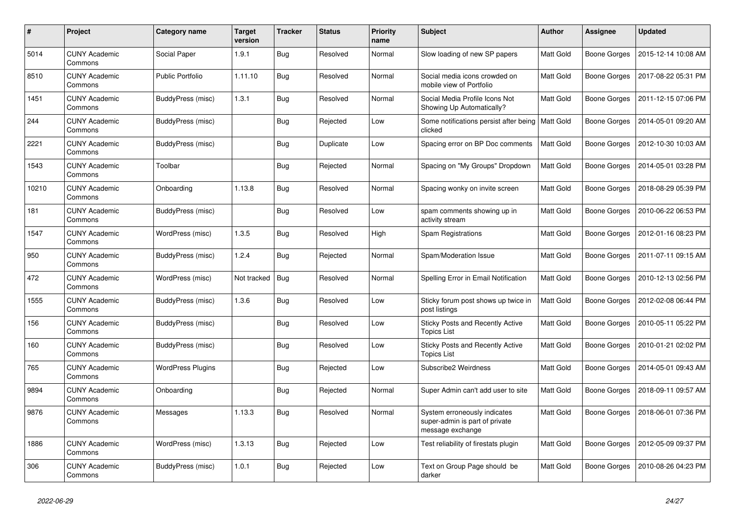| #     | Project                         | Category name            | <b>Target</b><br>version | <b>Tracker</b> | <b>Status</b> | <b>Priority</b><br>name | <b>Subject</b>                                                                     | <b>Author</b>    | Assignee            | <b>Updated</b>      |
|-------|---------------------------------|--------------------------|--------------------------|----------------|---------------|-------------------------|------------------------------------------------------------------------------------|------------------|---------------------|---------------------|
| 5014  | <b>CUNY Academic</b><br>Commons | Social Paper             | 1.9.1                    | <b>Bug</b>     | Resolved      | Normal                  | Slow loading of new SP papers                                                      | Matt Gold        | <b>Boone Gorges</b> | 2015-12-14 10:08 AM |
| 8510  | <b>CUNY Academic</b><br>Commons | <b>Public Portfolio</b>  | 1.11.10                  | <b>Bug</b>     | Resolved      | Normal                  | Social media icons crowded on<br>mobile view of Portfolio                          | Matt Gold        | Boone Gorges        | 2017-08-22 05:31 PM |
| 1451  | <b>CUNY Academic</b><br>Commons | BuddyPress (misc)        | 1.3.1                    | Bug            | Resolved      | Normal                  | Social Media Profile Icons Not<br>Showing Up Automatically?                        | Matt Gold        | Boone Gorges        | 2011-12-15 07:06 PM |
| 244   | <b>CUNY Academic</b><br>Commons | BuddyPress (misc)        |                          | Bug            | Rejected      | Low                     | Some notifications persist after being<br>clicked                                  | <b>Matt Gold</b> | <b>Boone Gorges</b> | 2014-05-01 09:20 AM |
| 2221  | <b>CUNY Academic</b><br>Commons | BuddyPress (misc)        |                          | <b>Bug</b>     | Duplicate     | Low                     | Spacing error on BP Doc comments                                                   | Matt Gold        | <b>Boone Gorges</b> | 2012-10-30 10:03 AM |
| 1543  | <b>CUNY Academic</b><br>Commons | Toolbar                  |                          | <b>Bug</b>     | Rejected      | Normal                  | Spacing on "My Groups" Dropdown                                                    | Matt Gold        | Boone Gorges        | 2014-05-01 03:28 PM |
| 10210 | <b>CUNY Academic</b><br>Commons | Onboarding               | 1.13.8                   | <b>Bug</b>     | Resolved      | Normal                  | Spacing wonky on invite screen                                                     | Matt Gold        | <b>Boone Gorges</b> | 2018-08-29 05:39 PM |
| 181   | CUNY Academic<br>Commons        | BuddyPress (misc)        |                          | Bug            | Resolved      | Low                     | spam comments showing up in<br>activity stream                                     | Matt Gold        | Boone Gorges        | 2010-06-22 06:53 PM |
| 1547  | <b>CUNY Academic</b><br>Commons | WordPress (misc)         | 1.3.5                    | Bug            | Resolved      | High                    | Spam Registrations                                                                 | Matt Gold        | Boone Gorges        | 2012-01-16 08:23 PM |
| 950   | <b>CUNY Academic</b><br>Commons | BuddyPress (misc)        | 1.2.4                    | Bug            | Rejected      | Normal                  | Spam/Moderation Issue                                                              | Matt Gold        | <b>Boone Gorges</b> | 2011-07-11 09:15 AM |
| 472   | <b>CUNY Academic</b><br>Commons | WordPress (misc)         | Not tracked              | Bug            | Resolved      | Normal                  | Spelling Error in Email Notification                                               | Matt Gold        | <b>Boone Gorges</b> | 2010-12-13 02:56 PM |
| 1555  | <b>CUNY Academic</b><br>Commons | BuddyPress (misc)        | 1.3.6                    | Bug            | Resolved      | Low                     | Sticky forum post shows up twice in<br>post listings                               | Matt Gold        | <b>Boone Gorges</b> | 2012-02-08 06:44 PM |
| 156   | <b>CUNY Academic</b><br>Commons | BuddyPress (misc)        |                          | Bug            | Resolved      | Low                     | Sticky Posts and Recently Active<br><b>Topics List</b>                             | Matt Gold        | Boone Gorges        | 2010-05-11 05:22 PM |
| 160   | <b>CUNY Academic</b><br>Commons | BuddyPress (misc)        |                          | Bug            | Resolved      | Low                     | Sticky Posts and Recently Active<br><b>Topics List</b>                             | Matt Gold        | Boone Gorges        | 2010-01-21 02:02 PM |
| 765   | <b>CUNY Academic</b><br>Commons | <b>WordPress Plugins</b> |                          | Bug            | Rejected      | Low                     | Subscribe2 Weirdness                                                               | <b>Matt Gold</b> | Boone Gorges        | 2014-05-01 09:43 AM |
| 9894  | <b>CUNY Academic</b><br>Commons | Onboarding               |                          | Bug            | Rejected      | Normal                  | Super Admin can't add user to site                                                 | Matt Gold        | Boone Gorges        | 2018-09-11 09:57 AM |
| 9876  | <b>CUNY Academic</b><br>Commons | Messages                 | 1.13.3                   | <b>Bug</b>     | Resolved      | Normal                  | System erroneously indicates<br>super-admin is part of private<br>message exchange | Matt Gold        | <b>Boone Gorges</b> | 2018-06-01 07:36 PM |
| 1886  | <b>CUNY Academic</b><br>Commons | WordPress (misc)         | 1.3.13                   | Bug            | Rejected      | Low                     | Test reliability of firestats plugin                                               | Matt Gold        | <b>Boone Gorges</b> | 2012-05-09 09:37 PM |
| 306   | <b>CUNY Academic</b><br>Commons | BuddyPress (misc)        | 1.0.1                    | Bug            | Rejected      | Low                     | Text on Group Page should be<br>darker                                             | Matt Gold        | Boone Gorges        | 2010-08-26 04:23 PM |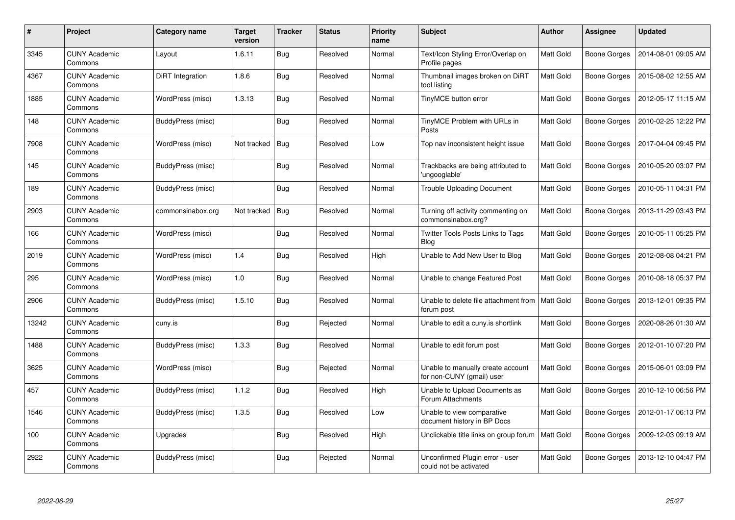| #     | Project                         | Category name            | Target<br>version | <b>Tracker</b> | <b>Status</b> | <b>Priority</b><br>name | <b>Subject</b>                                                 | Author           | <b>Assignee</b>     | <b>Updated</b>      |
|-------|---------------------------------|--------------------------|-------------------|----------------|---------------|-------------------------|----------------------------------------------------------------|------------------|---------------------|---------------------|
| 3345  | <b>CUNY Academic</b><br>Commons | Layout                   | 1.6.11            | <b>Bug</b>     | Resolved      | Normal                  | Text/Icon Styling Error/Overlap on<br>Profile pages            | <b>Matt Gold</b> | <b>Boone Gorges</b> | 2014-08-01 09:05 AM |
| 4367  | <b>CUNY Academic</b><br>Commons | <b>DiRT</b> Integration  | 1.8.6             | Bug            | Resolved      | Normal                  | Thumbnail images broken on DiRT<br>tool listing                | Matt Gold        | Boone Gorges        | 2015-08-02 12:55 AM |
| 1885  | <b>CUNY Academic</b><br>Commons | WordPress (misc)         | 1.3.13            | <b>Bug</b>     | Resolved      | Normal                  | TinyMCE button error                                           | Matt Gold        | <b>Boone Gorges</b> | 2012-05-17 11:15 AM |
| 148   | <b>CUNY Academic</b><br>Commons | BuddyPress (misc)        |                   | <b>Bug</b>     | Resolved      | Normal                  | TinyMCE Problem with URLs in<br>Posts                          | Matt Gold        | <b>Boone Gorges</b> | 2010-02-25 12:22 PM |
| 7908  | <b>CUNY Academic</b><br>Commons | WordPress (misc)         | Not tracked       | Bug            | Resolved      | Low                     | Top nav inconsistent height issue                              | Matt Gold        | <b>Boone Gorges</b> | 2017-04-04 09:45 PM |
| 145   | <b>CUNY Academic</b><br>Commons | <b>BuddyPress (misc)</b> |                   | <b>Bug</b>     | Resolved      | Normal                  | Trackbacks are being attributed to<br>'ungooglable'            | Matt Gold        | <b>Boone Gorges</b> | 2010-05-20 03:07 PM |
| 189   | <b>CUNY Academic</b><br>Commons | BuddyPress (misc)        |                   | <b>Bug</b>     | Resolved      | Normal                  | <b>Trouble Uploading Document</b>                              | Matt Gold        | <b>Boone Gorges</b> | 2010-05-11 04:31 PM |
| 2903  | <b>CUNY Academic</b><br>Commons | commonsinabox.org        | Not tracked       | Bug            | Resolved      | Normal                  | Turning off activity commenting on<br>commonsinabox.org?       | Matt Gold        | <b>Boone Gorges</b> | 2013-11-29 03:43 PM |
| 166   | <b>CUNY Academic</b><br>Commons | WordPress (misc)         |                   | <b>Bug</b>     | Resolved      | Normal                  | <b>Twitter Tools Posts Links to Tags</b><br><b>Blog</b>        | Matt Gold        | Boone Gorges        | 2010-05-11 05:25 PM |
| 2019  | <b>CUNY Academic</b><br>Commons | WordPress (misc)         | 1.4               | <b>Bug</b>     | Resolved      | High                    | Unable to Add New User to Blog                                 | <b>Matt Gold</b> | <b>Boone Gorges</b> | 2012-08-08 04:21 PM |
| 295   | <b>CUNY Academic</b><br>Commons | WordPress (misc)         | 1.0               | <b>Bug</b>     | Resolved      | Normal                  | Unable to change Featured Post                                 | Matt Gold        | <b>Boone Gorges</b> | 2010-08-18 05:37 PM |
| 2906  | <b>CUNY Academic</b><br>Commons | BuddyPress (misc)        | 1.5.10            | <b>Bug</b>     | Resolved      | Normal                  | Unable to delete file attachment from<br>forum post            | <b>Matt Gold</b> | <b>Boone Gorges</b> | 2013-12-01 09:35 PM |
| 13242 | <b>CUNY Academic</b><br>Commons | cuny.is                  |                   | Bug            | Rejected      | Normal                  | Unable to edit a cuny.is shortlink                             | Matt Gold        | <b>Boone Gorges</b> | 2020-08-26 01:30 AM |
| 1488  | <b>CUNY Academic</b><br>Commons | BuddyPress (misc)        | 1.3.3             | <b>Bug</b>     | Resolved      | Normal                  | Unable to edit forum post                                      | Matt Gold        | <b>Boone Gorges</b> | 2012-01-10 07:20 PM |
| 3625  | <b>CUNY Academic</b><br>Commons | WordPress (misc)         |                   | <b>Bug</b>     | Rejected      | Normal                  | Unable to manually create account<br>for non-CUNY (gmail) user | Matt Gold        | <b>Boone Gorges</b> | 2015-06-01 03:09 PM |
| 457   | <b>CUNY Academic</b><br>Commons | BuddyPress (misc)        | 1.1.2             | Bug            | Resolved      | High                    | Unable to Upload Documents as<br>Forum Attachments             | Matt Gold        | <b>Boone Gorges</b> | 2010-12-10 06:56 PM |
| 1546  | <b>CUNY Academic</b><br>Commons | BuddyPress (misc)        | 1.3.5             | <b>Bug</b>     | Resolved      | Low                     | Unable to view comparative<br>document history in BP Docs      | Matt Gold        | Boone Gorges        | 2012-01-17 06:13 PM |
| 100   | <b>CUNY Academic</b><br>Commons | Upgrades                 |                   | <b>Bug</b>     | Resolved      | High                    | Unclickable title links on group forum                         | Matt Gold        | <b>Boone Gorges</b> | 2009-12-03 09:19 AM |
| 2922  | <b>CUNY Academic</b><br>Commons | BuddyPress (misc)        |                   | <b>Bug</b>     | Rejected      | Normal                  | Unconfirmed Plugin error - user<br>could not be activated      | Matt Gold        | <b>Boone Gorges</b> | 2013-12-10 04:47 PM |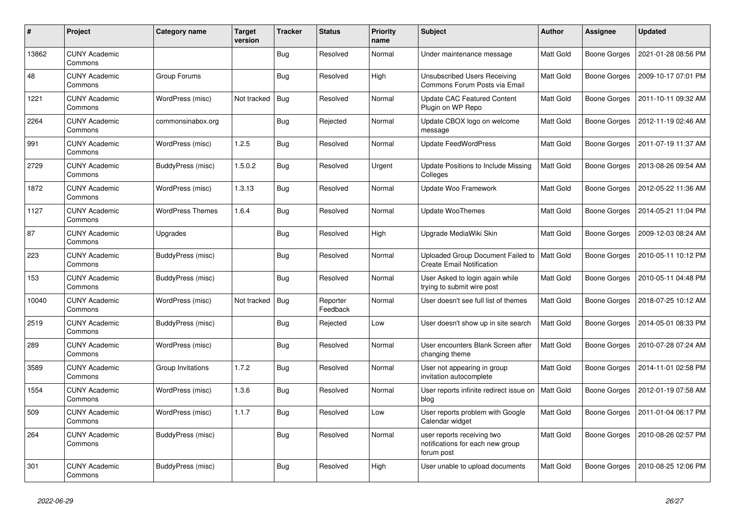| $\pmb{\#}$ | Project                         | Category name            | <b>Target</b><br>version | <b>Tracker</b> | <b>Status</b>        | <b>Priority</b><br>name | <b>Subject</b>                                                               | <b>Author</b> | <b>Assignee</b>     | <b>Updated</b>      |
|------------|---------------------------------|--------------------------|--------------------------|----------------|----------------------|-------------------------|------------------------------------------------------------------------------|---------------|---------------------|---------------------|
| 13862      | <b>CUNY Academic</b><br>Commons |                          |                          | <b>Bug</b>     | Resolved             | Normal                  | Under maintenance message                                                    | Matt Gold     | <b>Boone Gorges</b> | 2021-01-28 08:56 PM |
| 48         | <b>CUNY Academic</b><br>Commons | Group Forums             |                          | <b>Bug</b>     | Resolved             | High                    | Unsubscribed Users Receiving<br>Commons Forum Posts via Email                | Matt Gold     | Boone Gorges        | 2009-10-17 07:01 PM |
| 1221       | <b>CUNY Academic</b><br>Commons | WordPress (misc)         | Not tracked              | Bug            | Resolved             | Normal                  | <b>Update CAC Featured Content</b><br>Plugin on WP Repo                      | Matt Gold     | Boone Gorges        | 2011-10-11 09:32 AM |
| 2264       | <b>CUNY Academic</b><br>Commons | commonsinabox.org        |                          | <b>Bug</b>     | Rejected             | Normal                  | Update CBOX logo on welcome<br>message                                       | Matt Gold     | <b>Boone Gorges</b> | 2012-11-19 02:46 AM |
| 991        | <b>CUNY Academic</b><br>Commons | WordPress (misc)         | 1.2.5                    | <b>Bug</b>     | Resolved             | Normal                  | <b>Update FeedWordPress</b>                                                  | Matt Gold     | Boone Gorges        | 2011-07-19 11:37 AM |
| 2729       | <b>CUNY Academic</b><br>Commons | BuddyPress (misc)        | 1.5.0.2                  | <b>Bug</b>     | Resolved             | Urgent                  | Update Positions to Include Missing<br>Colleges                              | Matt Gold     | <b>Boone Gorges</b> | 2013-08-26 09:54 AM |
| 1872       | <b>CUNY Academic</b><br>Commons | WordPress (misc)         | 1.3.13                   | <b>Bug</b>     | Resolved             | Normal                  | Update Woo Framework                                                         | Matt Gold     | Boone Gorges        | 2012-05-22 11:36 AM |
| 1127       | <b>CUNY Academic</b><br>Commons | <b>WordPress Themes</b>  | 1.6.4                    | <b>Bug</b>     | Resolved             | Normal                  | <b>Update WooThemes</b>                                                      | Matt Gold     | Boone Gorges        | 2014-05-21 11:04 PM |
| 87         | <b>CUNY Academic</b><br>Commons | Upgrades                 |                          | <b>Bug</b>     | Resolved             | High                    | Upgrade MediaWiki Skin                                                       | Matt Gold     | Boone Gorges        | 2009-12-03 08:24 AM |
| 223        | <b>CUNY Academic</b><br>Commons | <b>BuddyPress (misc)</b> |                          | <b>Bug</b>     | Resolved             | Normal                  | Uploaded Group Document Failed to<br><b>Create Email Notification</b>        | Matt Gold     | <b>Boone Gorges</b> | 2010-05-11 10:12 PM |
| 153        | <b>CUNY Academic</b><br>Commons | BuddyPress (misc)        |                          | <b>Bug</b>     | Resolved             | Normal                  | User Asked to login again while<br>trying to submit wire post                | Matt Gold     | <b>Boone Gorges</b> | 2010-05-11 04:48 PM |
| 10040      | <b>CUNY Academic</b><br>Commons | WordPress (misc)         | Not tracked              | <b>Bug</b>     | Reporter<br>Feedback | Normal                  | User doesn't see full list of themes                                         | Matt Gold     | <b>Boone Gorges</b> | 2018-07-25 10:12 AM |
| 2519       | <b>CUNY Academic</b><br>Commons | <b>BuddyPress (misc)</b> |                          | <b>Bug</b>     | Rejected             | Low                     | User doesn't show up in site search                                          | Matt Gold     | Boone Gorges        | 2014-05-01 08:33 PM |
| 289        | <b>CUNY Academic</b><br>Commons | WordPress (misc)         |                          | <b>Bug</b>     | Resolved             | Normal                  | User encounters Blank Screen after<br>changing theme                         | Matt Gold     | Boone Gorges        | 2010-07-28 07:24 AM |
| 3589       | <b>CUNY Academic</b><br>Commons | Group Invitations        | 1.7.2                    | <b>Bug</b>     | Resolved             | Normal                  | User not appearing in group<br>invitation autocomplete                       | Matt Gold     | <b>Boone Gorges</b> | 2014-11-01 02:58 PM |
| 1554       | <b>CUNY Academic</b><br>Commons | WordPress (misc)         | 1.3.6                    | <b>Bug</b>     | Resolved             | Normal                  | User reports infinite redirect issue on<br>blog                              | Matt Gold     | <b>Boone Gorges</b> | 2012-01-19 07:58 AM |
| 509        | <b>CUNY Academic</b><br>Commons | WordPress (misc)         | 1.1.7                    | <b>Bug</b>     | Resolved             | Low                     | User reports problem with Google<br>Calendar widget                          | Matt Gold     | Boone Gorges        | 2011-01-04 06:17 PM |
| 264        | <b>CUNY Academic</b><br>Commons | BuddyPress (misc)        |                          | <b>Bug</b>     | Resolved             | Normal                  | user reports receiving two<br>notifications for each new group<br>forum post | Matt Gold     | Boone Gorges        | 2010-08-26 02:57 PM |
| 301        | <b>CUNY Academic</b><br>Commons | <b>BuddyPress (misc)</b> |                          | Bug            | Resolved             | High                    | User unable to upload documents                                              | Matt Gold     | <b>Boone Gorges</b> | 2010-08-25 12:06 PM |